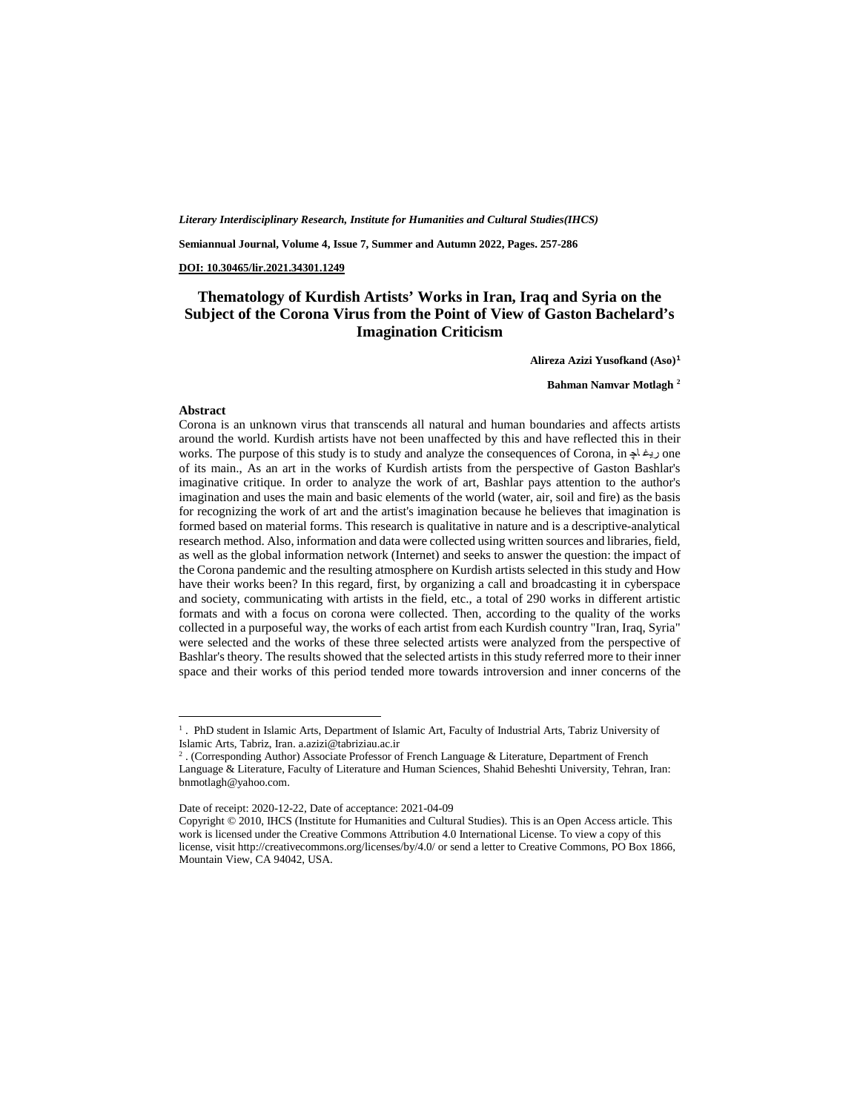*Literary Interdisciplinary Research, Institute for Humanities and Cultural Studies(IHCS)*

**Semiannual Journal, Volume 4, Issue 7, Summer and Autumn 2022, Pages. 257-286**

**DOI: 10.30465/lir.2021.34301.1249**

#### **Thematology of Kurdish Artists' Works in Iran, Iraq and Syria on the Subject of the Corona Virus from the Point of View of Gaston Bachelard's Imagination Criticism**

**Alireza Azizi Yusofkand (Aso)[1](#page-0-0)**

**Bahman Namvar Motlagh [2](#page-0-1)**

#### **Abstract**

**.** 

Corona is an unknown virus that transcends all natural and human boundaries and affects artists around the world. Kurdish artists have not been unaffected by this and have reflected this in their works. The purpose of this study is to study and analyze the consequences of Corona, in ريغا به one of its main., As an art in the works of Kurdish artists from the perspective of Gaston Bashlar's imaginative critique. In order to analyze the work of art, Bashlar pays attention to the author's imagination and uses the main and basic elements of the world (water, air, soil and fire) as the basis for recognizing the work of art and the artist's imagination because he believes that imagination is formed based on material forms. This research is qualitative in nature and is a descriptive-analytical research method. Also, information and data were collected using written sources and libraries, field, as well as the global information network (Internet) and seeks to answer the question: the impact of the Corona pandemic and the resulting atmosphere on Kurdish artists selected in this study and How have their works been? In this regard, first, by organizing a call and broadcasting it in cyberspace and society, communicating with artists in the field, etc., a total of 290 works in different artistic formats and with a focus on corona were collected. Then, according to the quality of the works collected in a purposeful way, the works of each artist from each Kurdish country "Iran, Iraq, Syria" were selected and the works of these three selected artists were analyzed from the perspective of Bashlar's theory. The results showed that the selected artists in this study referred more to their inner space and their works of this period tended more towards introversion and inner concerns of the

<span id="page-0-0"></span><sup>&</sup>lt;sup>1</sup>. PhD student in Islamic Arts, Department of Islamic Art, Faculty of Industrial Arts, Tabriz University of Islamic Arts, Tabriz, Iran. a.azizi@tabriziau.ac.ir

<span id="page-0-1"></span><sup>2</sup> . (Corresponding Author) Associate Professor of French Language & Literature, Department of French Language & Literature, Faculty of Literature and Human Sciences, Shahid Beheshti University, Tehran, Iran: [bnmotlagh@yahoo.com.](mailto:bnmotlagh@yahoo.com) 

Date of receipt: 2020-12-22, Date of acceptance: 2021-04-09

Copyright © 2010, IHCS (Institute for Humanities and Cultural Studies). This is an Open Access article. This work is licensed under the Creative Commons Attribution 4.0 International License. To view a copy of this license, visit http://creativecommons.org/licenses/by/4.0/ or send a letter to Creative Commons, PO Box 1866, Mountain View, CA 94042, USA.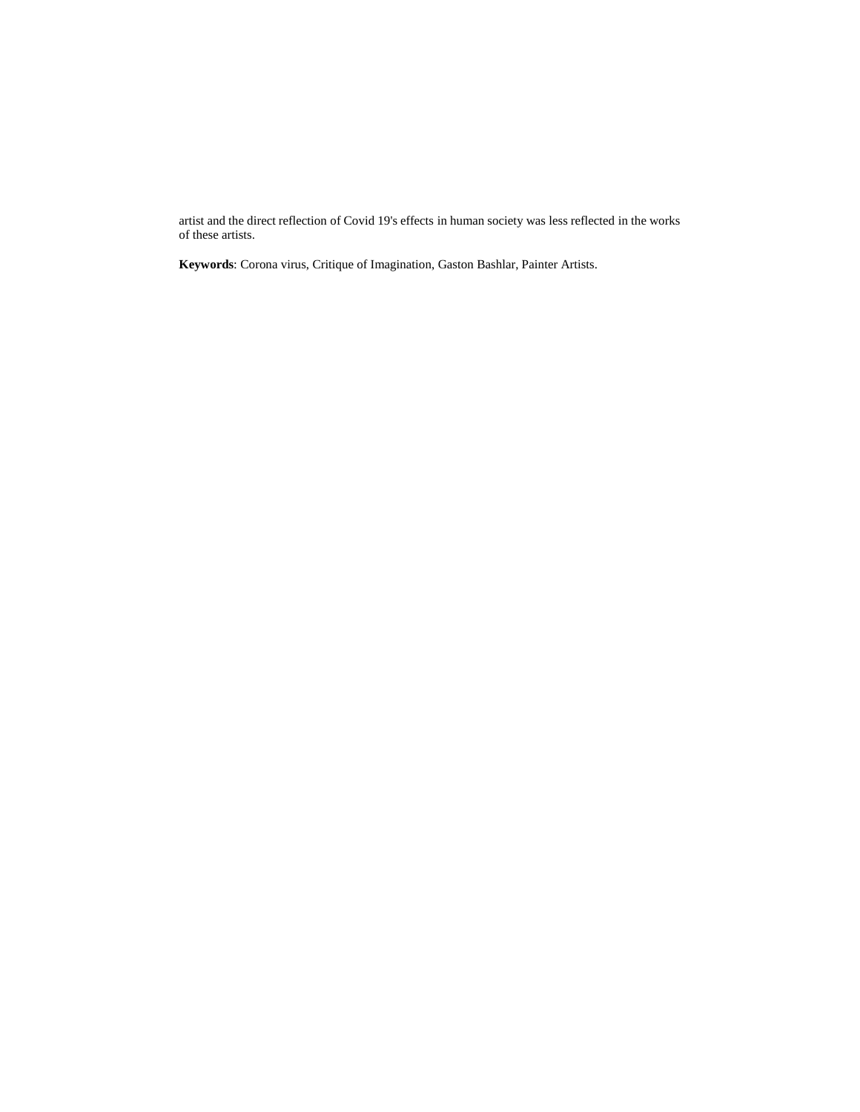artist and the direct reflection of Covid 19's effects in human society was less reflected in the works of these artists.

**Keywords**: Corona virus, Critique of Imagination, Gaston Bashlar, Painter Artists.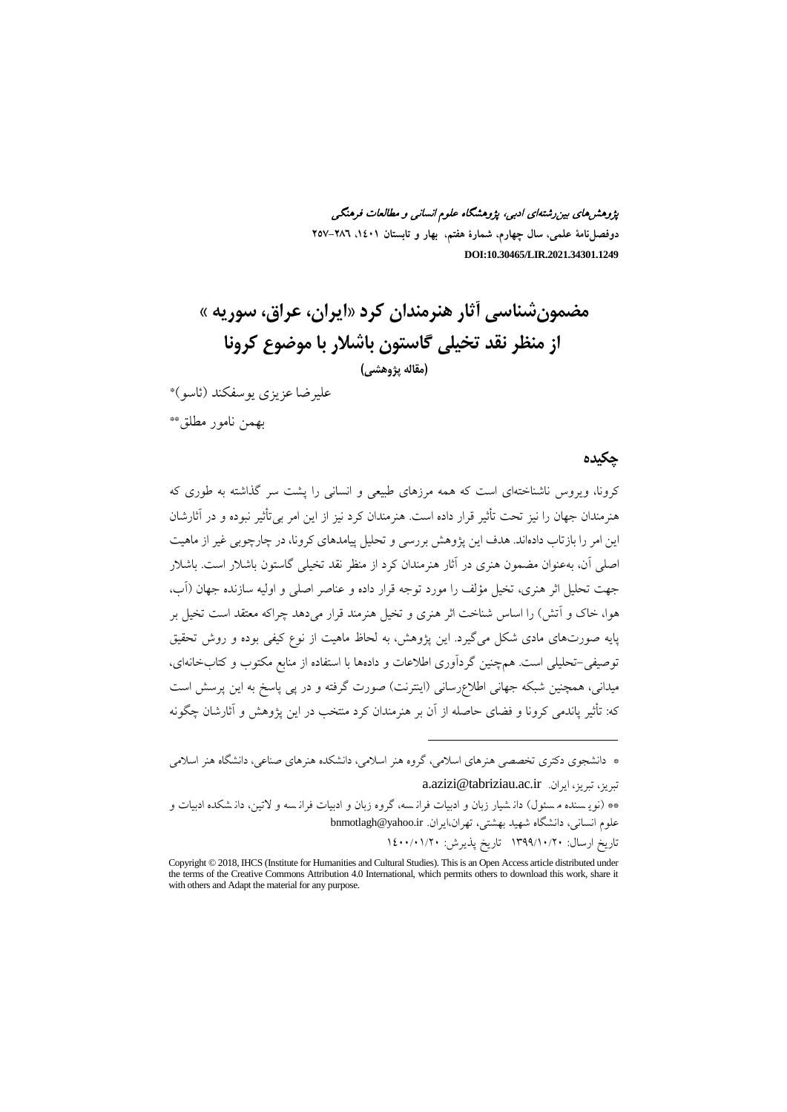پژوهشهاي بینرشتهاي ادبی، پژوهشگاه علوم انسانی و مطالعات فرهنگی **دوفصلنامۀ علمی، سال چهارم، شمارة هفتم، بهار و تابستان ،1401 257-286 DOI:10.30465/LIR.2021.34301.1249**

**مضمونشناسی آثار هنرمندان کرد«ایران، عراق، سوریه » از منظر نقد تخیلی گاستون باشلار با موضوع کرونا (مقاله پژوهشی)** علیرضا عزیزي یوسفکند (ئاسو)\*

\*\* بهمن نامور مطلق

**چکیده**

کرونا، ویروس ناشناختهاي است که همه مرزهاي طبیعی و انسانی را پشت سر گذاشته به طوري که هنرمندان جهان را نیز تحت تأثیر قرار داده است. هنرمندان کرد نیز از این امر بیتأثیر نبوده و در آثارشان این امر را بازتاب دادهاند. هدف این پژوهش بررسی و تحلیل پیامدهاي کرونا، در چارچوبی غیر از ماهیت اصلی آن، بهعنوان مضمون هنري در آثار هنرمندان کرد از منظر نقد تخیلی گاستون باشلار است. باشلار جهت تحلیل اثر هنري، تخیل مؤلف را مورد توجه قرار داده و عناصر اصلی و اولیه سازنده جهان (آب، هوا، خاك و آتش) را اساس شناخت اثر هنري و تخیل هنرمند قرار میدهد چراکه معتقد است تخیل بر پایه صورتهاي مادي شکل میگیرد. این پژوهش، به لحاظ ماهیت از نوع کیفی بوده و روش تحقیق توصیفی-تحلیلی است. همچنین گردآوري اطلاعات و دادهها با استفاده از منابع مکتوب و کتابخانهاي، میدانی، همچنین شبکه جهانی اطلاعرسانی (اینترنت) صورت گرفته و در پی پاسخ به این پرسش است که: تأثیر پاندمی کرونا و فضاي حاصله از آن بر هنرمندان کرد منتخب در این پژوهش و آثارشان چگونه

\* دانشجوي دکتري تخصصی هنرهاي اسلامی، گروه هنر اسلامی، دانشکده هنرهاي صناعی، دانشگاه هنر اسلامی

1

a.azizi@tabriziau.ac.ir .ایران ،تبریز ،تبریز \*\* (نوی سنده م سئول) دان شیار زبان و ادبیات فران سه، گروه زبان و ادبیات فران سه و لاتین، دان شکده ادبیات و علوم انسانی، دانشگاه شهید بهشتی، تهران،ایران. ir.yahoo@bnmotlagh تاریخ ارسال: 1399/10/20 تاریخ پذیرش: 1400/01/20

Copyright © 2018, IHCS (Institute for Humanities and Cultural Studies). This is an Open Access article distributed under the terms of the Creative Commons Attribution 4.0 International, which permits others to download this work, share it with others and Adapt the material for any purpose.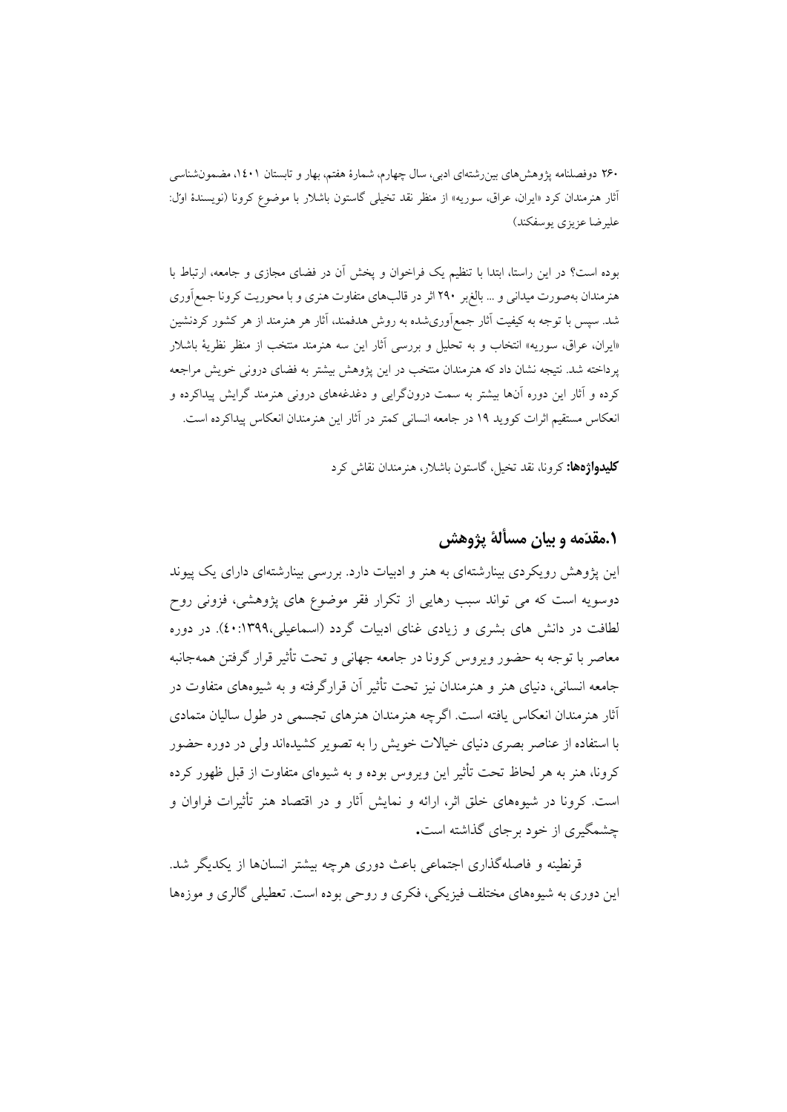بوده است؟ در این راستا، ابتدا با تنظیم یک فراخوان و پخش آن در فضاي مجازي و جامعه، ارتباط با هنرمندان بهصورت میدانی و ... بالغبر 290 اثر در قالبهاي متفاوت هنري و با محوریت کرونا جمعآوري شد. سپس با توجه به کیفیت آثار جمعآوريشده به روش هدفمند، آثار هر هنرمند از هر کشور کردنشین «ایران، عراق، سوریه» انتخاب و به تحلیل و بررسی آثار این سه هنرمند منتخب از منظر نظریۀ باشلار پرداخته شد. نتیجه نشان داد که هنرمندان منتخب در این پژوهش بیشتر به فضاي درونی خویش مراجعه کرده و آثار این دوره آنها بیشتر به سمت درونگرایی و دغدغههاي درونی هنرمند گرایش پیداکرده و انعکاس مستقیم اثرات کووید 19 در جامعه انسانی کمتر در آثار این هنرمندان انعکاس پیداکرده است.

**کلیدواژهها:** کرونا، نقد تخیل، گاستون باشلار، هنرمندان نقاش کرد

### **.1مقدمه و بیان مسألۀ پژوهش**

این پژوهش رویکردي بینارشتهاي به هنر و ادبیات دارد. بررسی بینارشتهاي داراي یک پیوند دوسویه است که می تواند سبب رهایی از تکرار فقر موضوع هاي پژوهشی، فزونی روح لطافت در دانش هاي بشري و زیادي غناي ادبیات گردد (اسماعیلی40:1399،). در دوره معاصر با توجه به حضور ویروس کرونا در جامعه جهانی و تحت تأثیر قرار گرفتن همهجانبه جامعه انسانی، دنیاي هنر و هنرمندان نیز تحت تأثیر آن قرارگرفته و به شیوههاي متفاوت در آثار هنرمندان انعکاس یافته است. اگرچه هنرمندان هنرهاي تجسمی در طول سالیان متمادي با استفاده از عناصر بصري دنیاي خیالات خویش را به تصویر کشیدهاند ولی در دوره حضور کرونا، هنر به هر لحاظ تحت تأثیر این ویروس بوده و به شیوهاي متفاوت از قبل ظهور کرده است. کرونا در شیوههاي خلق اثر، ارائه و نمایش آثار و در اقتصاد هنر تأثیرات فراوان و چشمگیري از خود برجاي گذاشته است**.**

قرنطینه و فاصلهگذاري اجتماعی باعث دوري هرچه بیشتر انسانها از یکدیگر شد. این دوري به شیوههاي مختلف فیزیکی، فکري و روحی بوده است. تعطیلی گالري و موزهها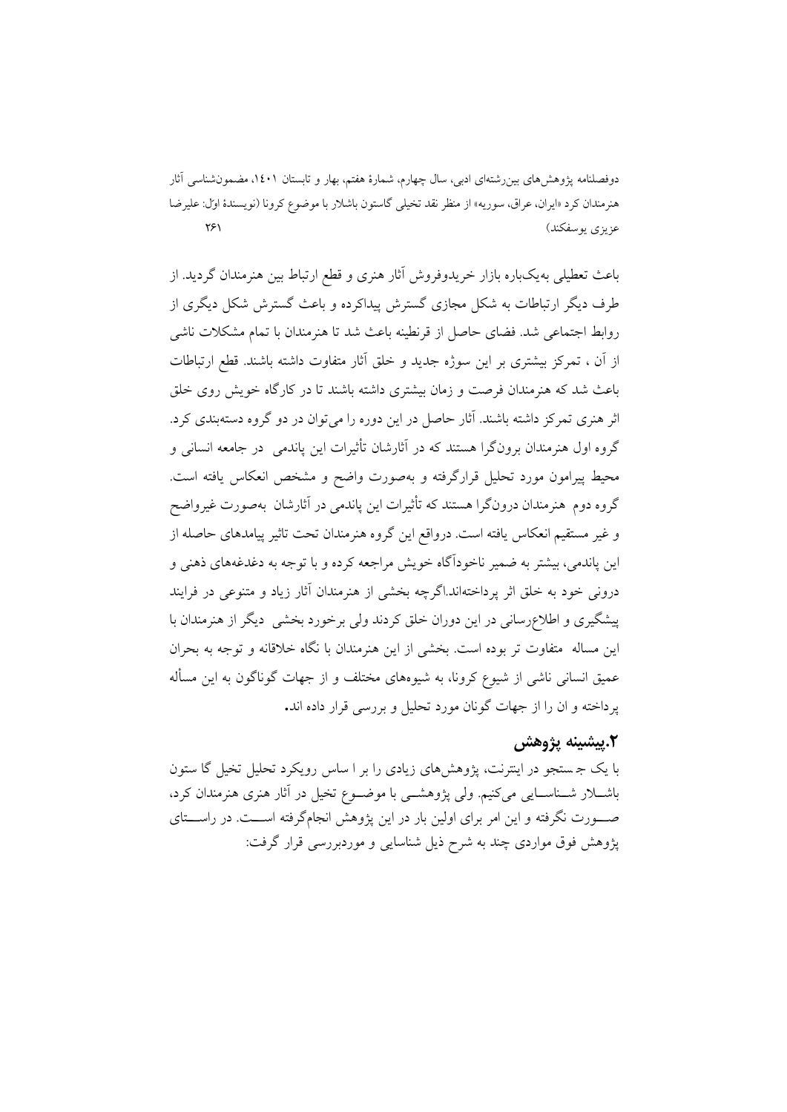باعث تعطیلی بهیکباره بازار خریدوفروش آثار هنري و قطع ارتباط بین هنرمندان گردید. از طرف دیگر ارتباطات به شکل مجازي گسترش پیداکرده و باعث گسترش شکل دیگري از روابط اجتماعی شد. فضاي حاصل از قرنطینه باعث شد تا هنرمندان با تمام مشکلات ناشی از آن ، تمرکز بیشتري بر این سوژه جدید و خلق آثار متفاوت داشته باشند. قطع ارتباطات باعث شد که هنرمندان فرصت و زمان بیشتري داشته باشند تا در کارگاه خویش روي خلق اثر هنري تمرکز داشته باشند. آثار حاصل در این دوره را میتوان در دو گروه دستهبندي کرد. گروه اول هنرمندان برونگرا هستند که در آثارشان تأثیرات این پاندمی در جامعه انسانی و محیط پیرامون مورد تحلیل قرارگرفته و بهصورت واضح و مشخص انعکاس یافته است. گروه دوم هنرمندان درونگرا هستند که تأثیرات این پاندمی در آثارشان بهصورت غیرواضح و غیر مستقیم انعکاس یافته است. درواقع این گروه هنرمندان تحت تاثیر پیامدهاي حاصله از این پاندمی، بیشتر به ضمیر ناخودآگاه خویش مراجعه کرده و با توجه به دغدغههاي ذهنی و درونی خود به خلق اثر پرداختهاند.اگرچه بخشی از هنرمندان آثار زیاد و متنوعی در فرایند پیشگیري و اطلاعرسانی در این دوران خلق کردند ولی برخورد بخشی دیگر از هنرمندان با این مساله متفاوت تر بوده است. بخشی از این هنرمندان با نگاه خلاقانه و توجه به بحران عمیق انسانی ناشی از شیوع کرونا، به شیوههاي مختلف و از جهات گوناگون به این مسأله پرداخته و ان را از جهات گونان مورد تحلیل و بررسی قرار داده اند**.**

### **.2پیشینه پژوهش**

با یک ج ستجو در اینترنت، پژوهشهاي زیادي را بر ا ساس رویکرد تحلیل تخیل گا ستون باشــلار شــناســایی میکنیم. ولی پژوهشــی با موضــوع تخیل در آثار هنري هنرمندان کرد، صــورت نگرفته و این امر براي اولین بار در این پژوهش انجامگرفته اســت. در راســتاي پژوهش فوق مواردي چند به شرح ذیل شناسایی و موردبررسی قرار گرفت: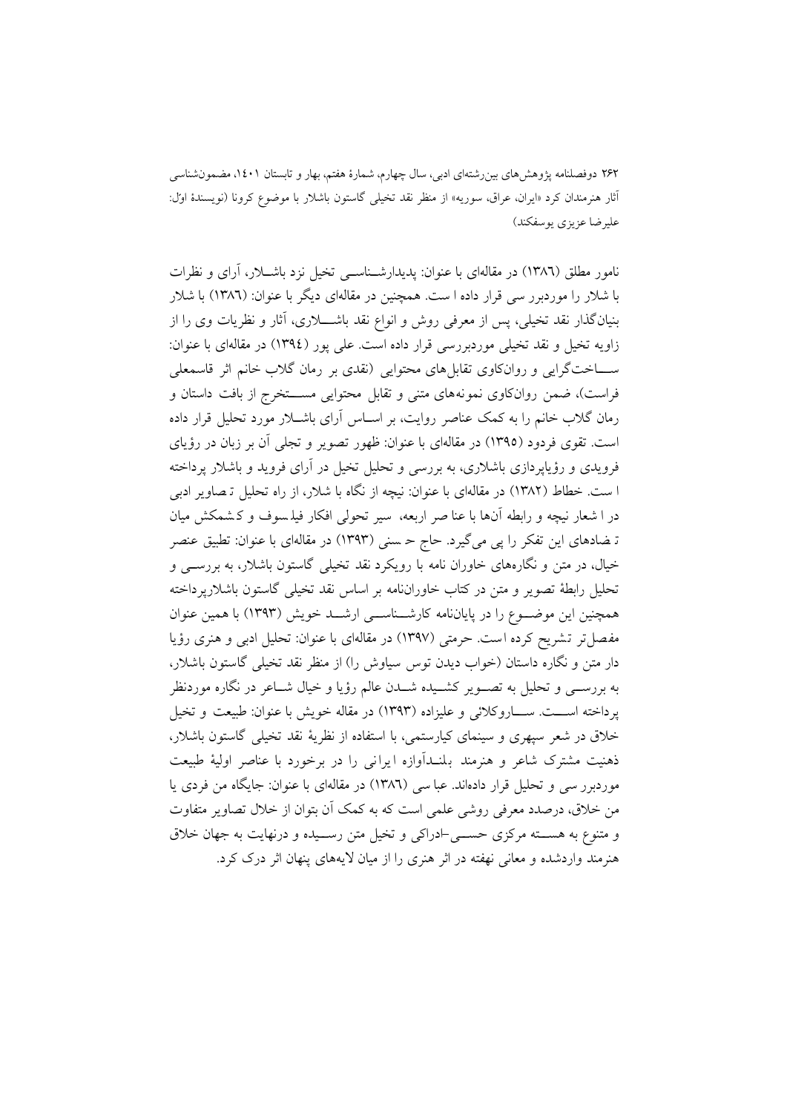نامور مطلق (1386) در مقالهاي با عنوان: پدیدارشـناسـی تخیل نزد باشـلار، آراي و نظرات با شلار را موردبرر سی قرار داده ا ست. همچنین در مقالهای دیگر با عنوان: (١٣٨٦) با شلار بنیان گذار نقد تخیلی، پس از معرفی روش و انواع نقد باشــــلاری، آثار و نظریات وی را از زاویه تخیل و نقد تخیلی موردبررسی قرار داده است. علی پور (١٣٩٤) در مقالهای با عنوان: ســـاختگرایی و روانکاوي تقابل هاي محتوایی (نقدي بر رمان گلاب خانم اثر قاسمعلی فراست)، ضمن روانکاوی نمونههای متنی و تقابل محتوایی مســـتخرج از بافت داستان و رمان گلاب خانم را به کمک عناصر روایت، بر اسـاس آراي باشـلار مورد تحلیل قرار داده است . تقوي فردود (1395) در مقالهاي با عنوان: ظهور تصو یر و تجلی آن بر زبان در رؤیاي فرویدي و رؤیاپردازي باشلار ي، به بررس ی و تحلیل تخیل در آراي فروید و باشلار پرداخته ا ست . خطاط (1382) در مقالهاي با عنوان: نیچه از نگاه با شلار، از راه تحلیل ت صاو یر ادبی در ا شعار نیچه و رابطه آنها با عنا صر اربعه، س یر تحولی افکار فیل سوف و ک شمکش میان تـ ضادهاي این تفکر را پی میگیرد. حاج حـ سنی (۱۳۹۳) در مقالهاي با عنوان: تطبیق عنصر خیال، در متن و نگارههاي خاوران نامه با رویکرد نقد تخیلی گاستون باشلار، به بررسـی و تحلیل رابطۀ تصویر و متن در کتاب خاوراننامه بر اساس نقد تخیلی گاستون باشلارپرداخته همچنین این موضــوع را در پایاننامه کارشــناســ ی ارشــد خویش (1393) با همین عنوان مفصل تر تشر یح کرده است . حرمتی (1397) در مقالهاي با عنوان: تحلیل ادبی و هنري رؤیا دار متن و نگاره داستان (خواب دیدن توس س یاوش را) از منظر نقد تخیلی گاستون باشلار، به بررســی و تحلیل به تصــویر کشــیده شــدن عالم رؤیا و خیال شــاعر در نگاره موردنظر پرداخته اســت. ســاروکلائی و علیزاده (1393) در مقاله خویش با عنوان: طبیعت و تخیل خلاق در شعر سپهري و سینماي کیارستمی، با استفاده از نظریۀ نقد تخیلی گاستون باشلار، ذهنیت مشترک شاعر و هنرمند بلنـدآوازه ایرانی را در برخورد با عناصر اولیۀ طبیعت موردبرر سی و تحلیل قرار دادهاند. عبا سی (١٣٨٦) در مقالهای با عنوان: جایگاه من فردی یا من خلاق، درصدد معرفی روشی علمی است که به کمک آن بتوان از خلال تصاویر متفاوت و متنوع به هســته مرکزي حســی-ادراکی و تخیل متن رســیده و درنهایت به جهان خلاق هنرمند واردشده و معانی نهفته در اثر هنري را از میان لایههاي پنهان اثر درك کرد.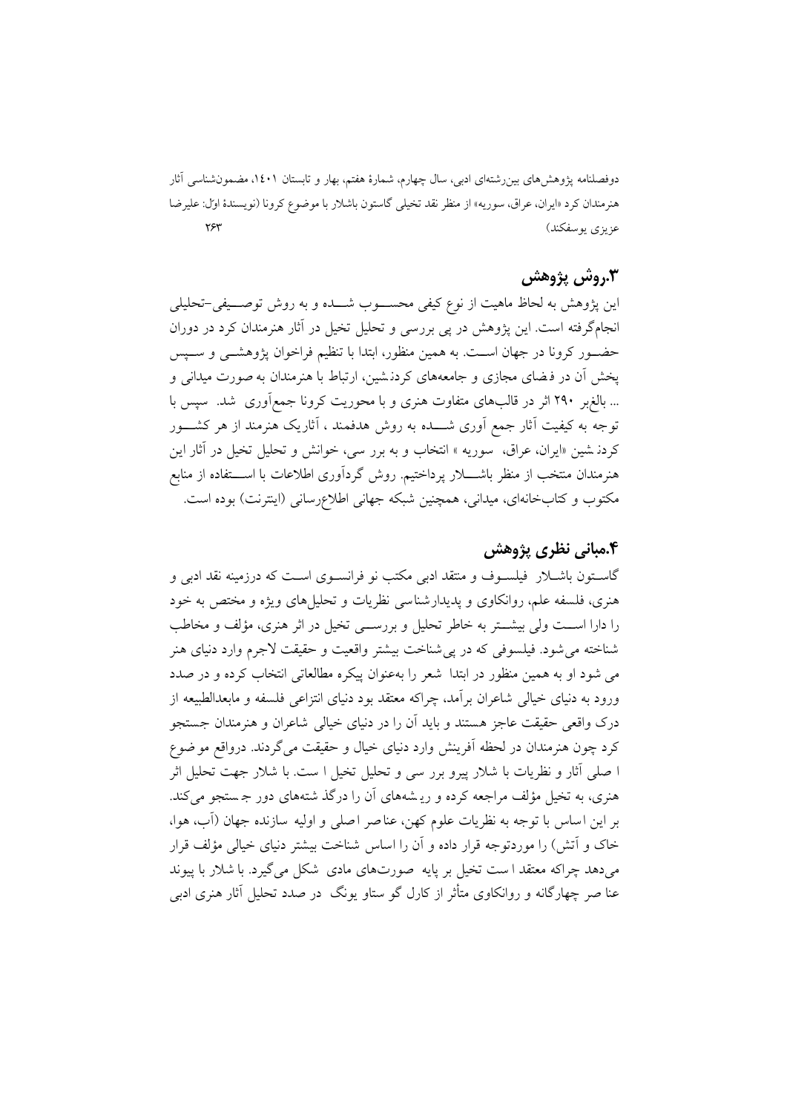#### **.3روش پژوهش**

این پژوهش به لحاظ ماهیت از نوع کیفی محســوب شــده و به روش توصــیفی-تحلیلی انجامگرفته است . این پژوهش در پی بررس ی و تحلیل تخیل در آثار هنرمندان کرد در دوران حضــور کرونا در جهان اســت. به همین منظور، ابتدا با تنظیم فراخوان پژوهشــی و ســپس پخش آن در فرضاي مجازي و جامعههاي كردن شين، ارتباط با هنرمندان به صورت میدانی و ... بالغبر 290 اثر در قالبهاي متفاوت هنري و با محوریت کرونا جمعآوري شد . سپس با توجه به کیفیت آثار جمع آوری شــــده به روش هدفمند ، آثاریک هنرمند از هر کشــــور کردن شین «ایران، عراق، سوریه » انتخاب و به برر سی، خوانش و تحلیل تخیل در آثار این هنرمندان منتخب از منظر باشـــلار پرداختیم. روش گردآوري اطلاعات با اســـتفاده از منابع مکتوب و کتابخانهاي، میدانی، همچنین شبکه جهانی اطلاعرسانی (اینترنت) بوده است.

### **.4مبانی نظري پژوهش**

گاسـتون باشـلار فیلسـوف و منتقد ادبی مکتب نو فرانسـو ي اسـت که درزمینه نقد ادبی و هنري، فلسفه علم، روانکاوي و پدیدارشناسي نظریات و تحلیل هاي ویژه و مختص به خود را دارا اســت ولی بیشــتر به خاطر تحلیل و بررســی تخیل در اثر هنري، مؤلف و مخاطب شناخته می شود. فیلسوفی که در پی شناخت بیشتر واقعیت و حقیقت لاجرم وارد دنیای هنر می شود او به همین منظور در ابتدا شعر را بهعنوان پیکره مطالعاتی انتخاب کرده و در صدد ورود به دنیاي خیالی شاعران برآمد، چراکه معتقد بود دنیاي انتزاعی فلسفه و مابعدالطبیعه از درك واقعی حقیقت عاجز هستند و باید آن را در دنیاي خیالی شاعران و هنرمندان جستجو کرد چون هنرمندان در لحظه آفرینش وارد دنیاي خیال و حقیقت میگردند. درواقع موضوع ا صلی آثار و نظریات با شلار پیرو برر سی و تحلیل تخیل ا ست. با شلار جهت تحلیل اثر هنري، به تخیل مؤلف مراجعه کرده و ری شه هاي آن را درگذ شته هاي دور ج ستجو میکند. بر این اساس با توجه به نظریات علوم کهن، عناصر اصل ی و اولیه سازنده جهان (آب، هوا، خاك و آتش) را موردتوجه قرار داده و آن را اساس شناخت بیشتر دنیاي خیالی مؤلف قرار میدهد چراکه معتقد ا ست تخیل بر پایه صورت هاي مادي شکل میگیرد. با شلار با پیوند عنا صر چهارگانه و روانکاوي متأثر از کارل گو ستاو یونگ در صدد تحلیل آثار هنري ادبی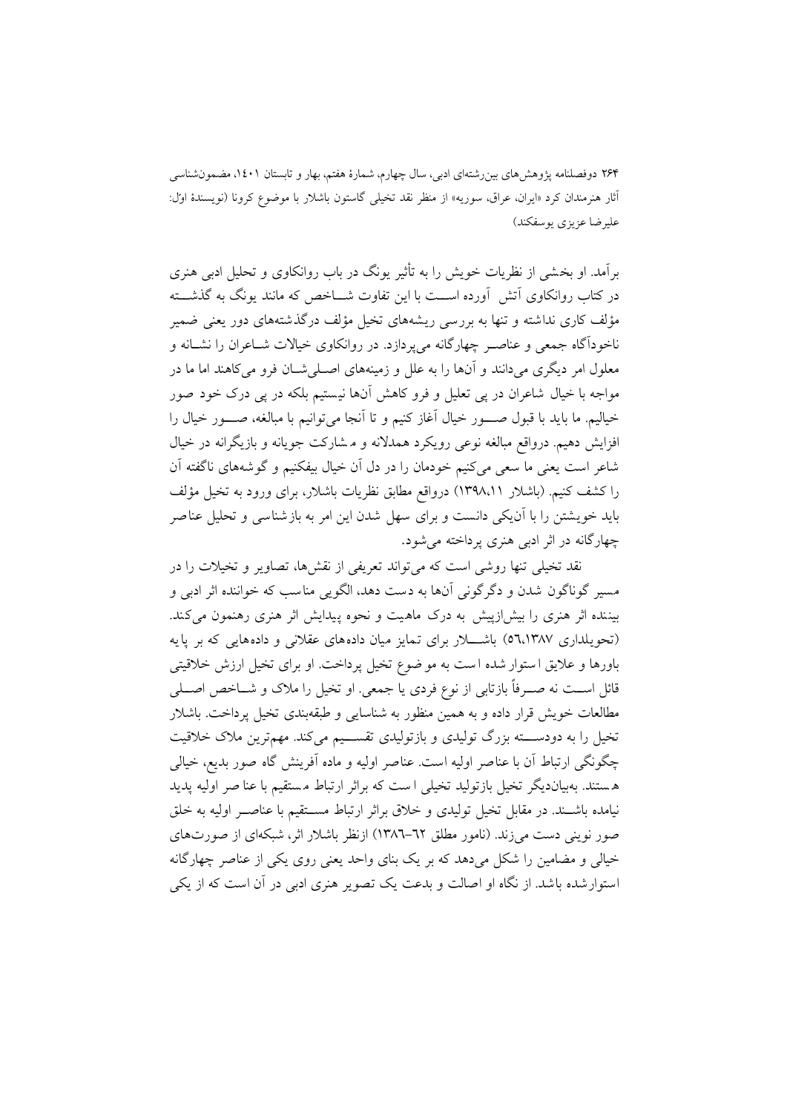برآمد. او بخش ی از نظریات خویش را به تأثیر یونگ در باب روانکاوي و تحلیل ادبی هنري در کتاب روانکاوي آتش آورده اســت با این تفاوت شــاخص که مانند یونگ به گذشــته مؤلف کاری نداشته و تنها به بررسی ریشههای تخیل مؤلف درگذشتههای دور یعنی ضمیر ناخودآگاه جمعی و عناصـر چهارگانه میپردازد. در روانکاوي خیالات شـاعران را نشـانه و معلول امر دیگري میدانند و آنها را به علل و زمینههاي اصـل یشـان فرو میکاهند اما ما در مواجه با خیال شاعران در پی تعلیل و فرو کاهش آنها نیستیم بلکه در پی درک خود صور خیالیم. ما باید با قبول صــــور خیال آغاز کنیم و تا آنجا می توانیم با مبالغه، صــــور خیال را افزایش دهیم. درواقع مبالغه نوعی رویکرد همدلانه و م شارکت جویانه و بازیگرانه در خیال شاعر است یعنی ما سعی میکنیم خودمان را در دل آن خیال بیفکنیم و گوشههای ناگفته آن را کشف کنیم. (باشلار 1398،11) درواقع مطابق نظریات باشلار، براي ورود به تخیل مؤلف باید خویشتن را با آنیکی دانست و براي سهل شدن این امر به بازشناس ی و تحلیل عناصر چهارگانه در اثر ادبی هنري پرداخته میشود.

نقد تخیلی تنها روشی است که میتواند تعریفی از نقشها، تصاویر و تخیلات را در مس یر گوناگون شدن و دگرگونی آنها به دست دهد، الگویی مناسب که خواننده اثر ادبی و بیننده اثر هنري را بیش ازپیش به درک ماهیت و نحوه پیدایش اثر هنري رهنمون می کند. (تحویلداری ٥٦،١٣٨٧) باشـــلار برای تمایز میان دادههای عقلانی و دادههایی که بر پایه باورها و علایق ا ستوار شده ا ست به مو ضوع تخیل پرداخت. او براي تخیل ارزش خلاقیتی قائل اســت نه صــرفاً بازتابی از نوع فردي یا جمعی. او تخیل را ملاك و شــاخص اصــلی مطالعات خویش قرار داده و به همین منظور به شناسایی و طبقهبندي تخیل پرداخت. باشلار تخیل را به دودســـته بزرگ تولیدی و بازتولیدی تقســـیم میکند. مهمترین ملاک خلاقیت چگونگی ارتباط آن با عناصر اولیه است . عناصر اولیه و ماده آفرینش گاه صور بدیع، خیالی ه ستند. بهبیاندیگر تخیل بازتولید تخیلی ا ست که براثر ارتباط مستقیم با عنا صر اولیه پدید نیامده باشــند. در مقابل تخیل تولیدي و خلاق براثر ارتباط مســتقیم با عناصــر اولیه به خلق صور نوینی دست میزند. (نامور مطلق 1386-62) ازنظر باشلار اثر، شبکهاي از صورتهاي خیالی و مضامین را شکل میدهد که بر یک بنای واحد یعنی روی یکی از عناصر چهارگانه استوارشده باشد . از نگاه او اصالت و بدعت یک تصو یر هنري ادبی در آن است که از یکی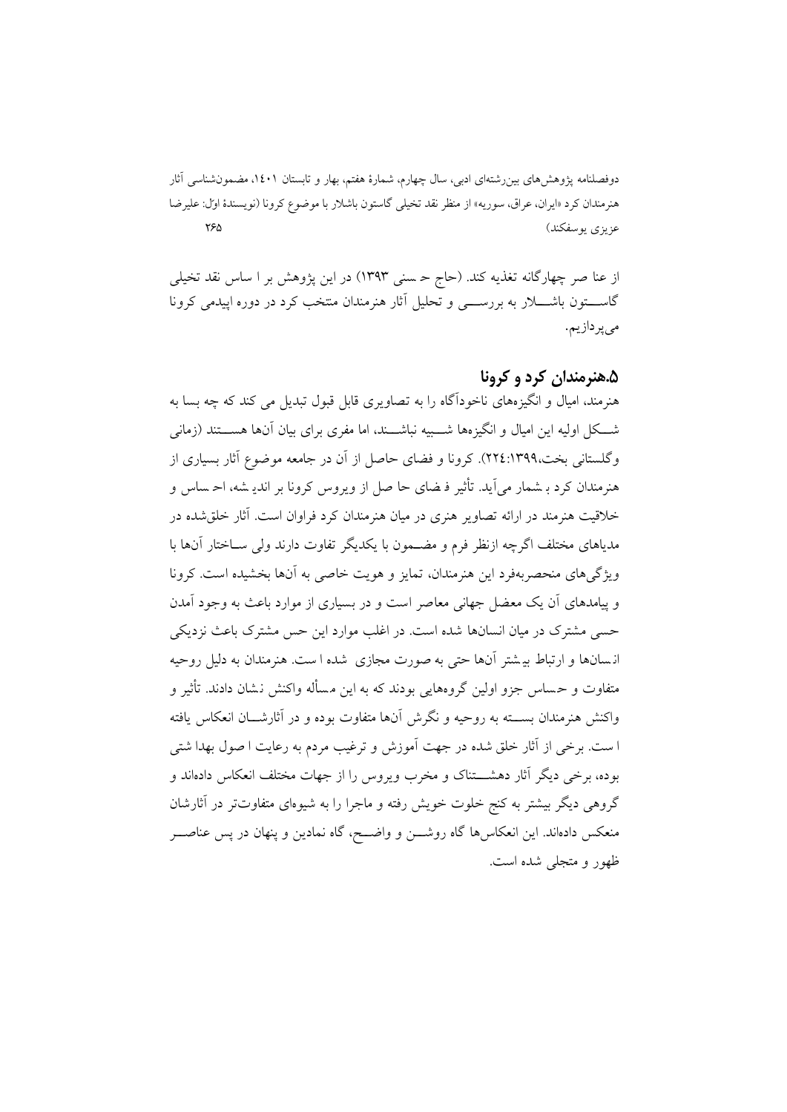از عنا صر چهارگانه تغذیه کند. (حاج ح سن ی 1393) در این پژوهش بر ا ساس نقد تخیلی گاســـتون باشــــلار به بررســــی و تحلیل آثار هنرمندان منتخب کرد در دوره اپیدمی کرونا میپردازیم.

### **.5هنرمندان کرد و کرونا**

هنرمند، امیال و انگیزههاي ناخودآگاه را به تصاو یري قابل قبول تبدیل می کند که چه بسا به شــکل اولیه این امیال و انگیزهها شــبیه نباشــند، اما مفري براي بیان آنها هســتند (زمانی وگلستاني بخت،١٣٩٩:٢٢٤). کرونا و فضاي حاصل از آن در جامعه موضوع آثار بسیاري از هنرمندان کرد بـ شمار می آید. تأثیر فـ ضای حا صل از ویروس کرونا بر اندیـ شه، احـ ساس و خلاقیت هنرمند در ارائه تصاو یر هنري در میان هنرمندان کرد فراوان است. آثار خلقشده در مدیاهاي مختلف اگرچه ازنظر فرم و مضـمون با یکدیگر تفاوت دارند ولی سـاختار آنها با ویژگی های منحصر بهفرد این هنرمندان، تمایز و هویت خاصی به آنها بخشیده است. کرونا و پیامدهاي آن یک معضل جهانی معاصر است و در بسیاري از موارد باعث به وجود آمدن حسی مشترک در میان انسانها شده است. در اغلب موارد این حس مشترک باعث نزدیکی ان سان ها و ارتباط بی شتر آنها حتی به صورت مجازي شده ا ست. هنرمندان به دلیل روحیه متفاوت و ح ساس جزو اولین گروههایی بودند که به این م سأله واکنش ن شان دادند. تأثیر و واکنش هنرمندان بســته به روحیه و نگرش آنها متفاوت بوده و در آثارشــان انعکاس یافته ا ست. برخی از آثار خلق شده در جهت آموزش و ترغیب مردم به رعایت ا صول بهدا شتی بوده، برخی دیگر آثار دهشـــتناك و مخرب ویروس را از جهات مختلف انعکاس دادهاند و گروهی دیگر بیشتر به کنج خلوت خویش رفته و ماجرا را به ش یوهاي متفاوتتر در آثارشان منعکس دادهاند. این انعکاسها گاه روشــن و واضــح، گاه نمادین و پ نهان در پس عناصــر ظهور و متجلی شده است.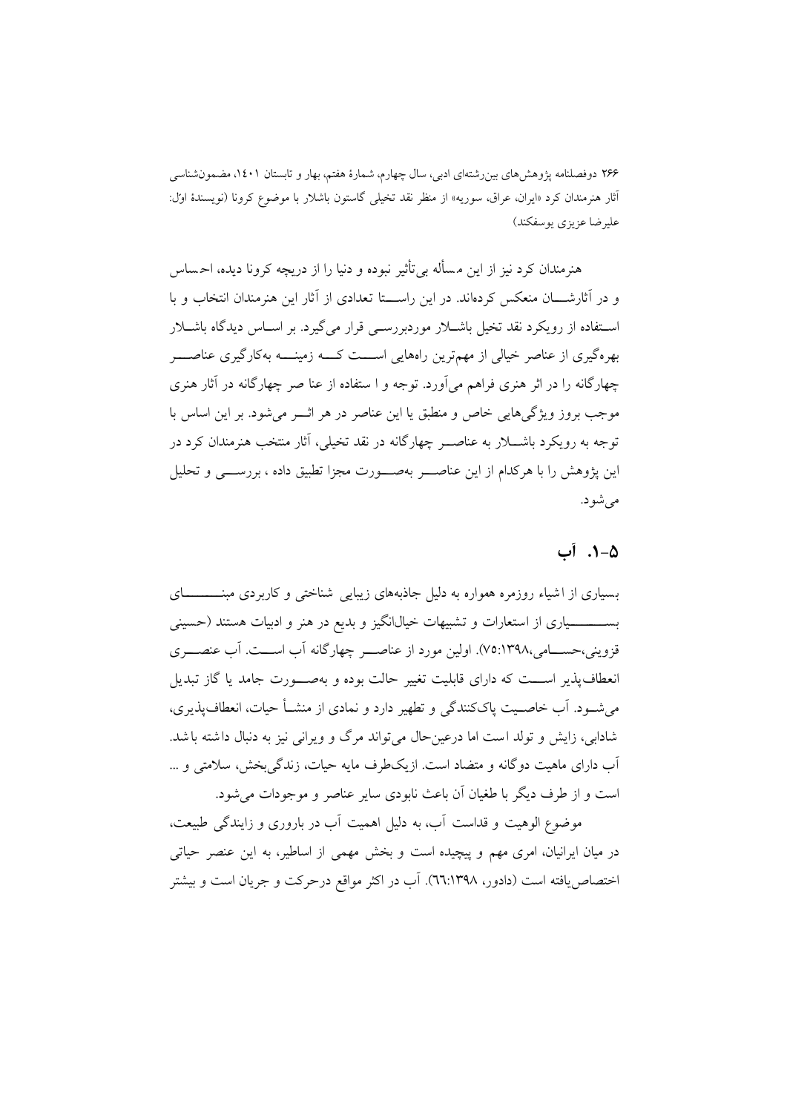هنرمندان کرد نیز از این م سأله بیتأثیر نبوده و دنیا را از دریچه کرونا دیده، اح ساس و در آثارشـــان منعکس کردهاند . در این راســـتا تعدادي از آثار این هنرمندان انتخاب و با اسـتفاده از رویکرد نقد تخیل باشـلار موردبررسـی قرار میگیرد. بر اسـاس دیدگاه باشـلار بهرهگیري از عناصر خیالی از مهمترین راههایی اســـت کـــه زم ینـــه بهکارگیري عناصـــر چهارگانه را در اثر هنري فراهم مي آورد. توجه و ا ستفاده از عنا صر چهارگانه در آثار هنري موجب بروز ویژگیهایی خاص و منطبق یا این عناصر در هر اثــر میشود. بر این اساس با توجه به رویکرد باشــلار به عناصــر چهارگانه در نقد تخیلی، آثار منتخب هنرمندان کرد در این پژوهش را با هرکدام از این عناصـــر بهصـــورت مجزا تطبیق داده ، بررســـی و تحلیل می شو د.

### **.1-5 آب**

بسیاري از اشیاء روزمره همواره به دلیل جاذبههاي زیبایی شناختی و کاربردي مبنــــــــاي بســــــــیاري از استعارات و تشبیهات خیالانگیز و بدیع در هنر و ادبیات هستند (حس ینی قزوینی،حســامی75:1398،). اولین مورد از عناصــر چهارگانه آب اســت. آب عنصــري انعطاف پذ یر اســـت که داراي قابلیت تغییر حالت بوده و به صـــورت جامد یا گاز تبدیل میشــود. آب خاصــیت پاكکنندگی و تطهیر دارد و نمادي از منشــأ حیات، انعطافپذیري، شادابی، زایش و تولد است اما درعینحال میتواند مرگ و ویرانی نیز به دنبال داشته باشد. آب داراي ماهيت دوگانه و متضاد است. از یکطرف مایه حیات، زندگی بخش، سلامتی و … است و از طرف دیگر با طغیان آن باعث نابودي سایر عناصر و موجودات میشود.

موضوع الوهیت و قداست آب، به دلیل اهمیت آب در باروري و زایندگی طبیعت، در میان ایرانیان، امري مهم و پیچیده است و بخش مهمی از اساطیر، به این عنصر حیاتی اختصاصیافته است (دادور، 66:1398). آب در اکثر مواقع درحرکت و جریان است و بیشتر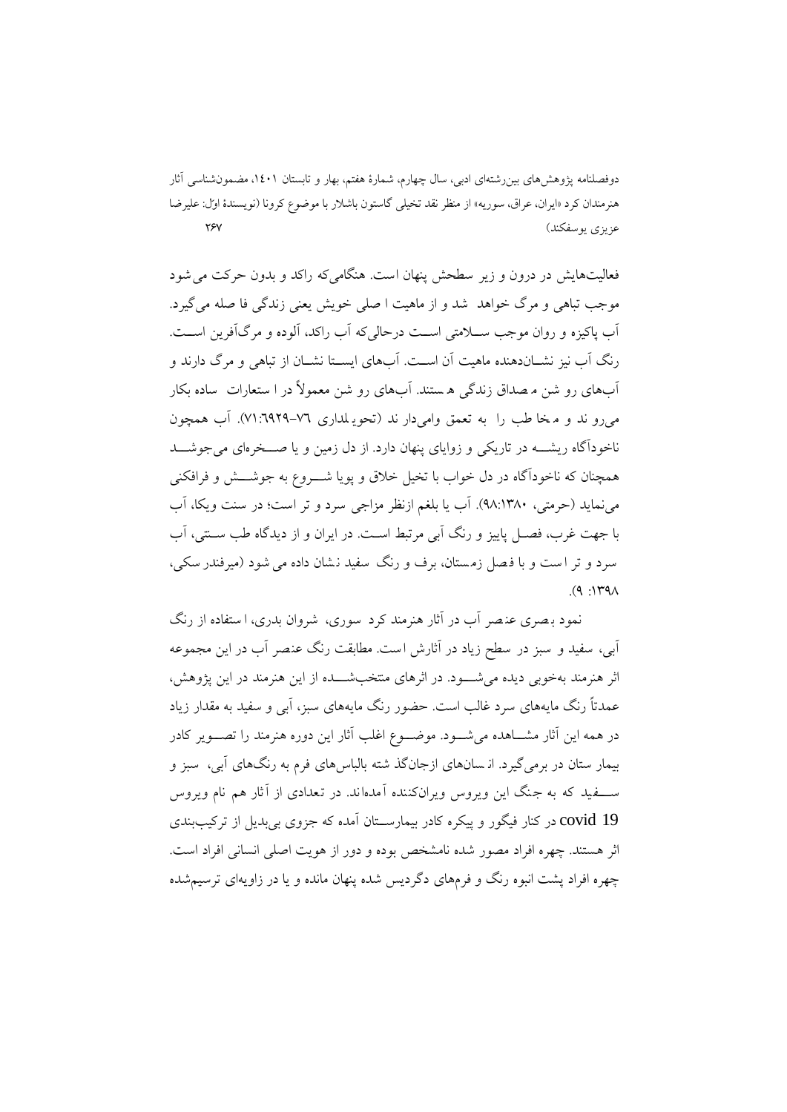فعالیتهایش در درون و زیر سطحش پنهان است. هنگامی که راکد و بدون حرکت می شود موجب تباهی و مرگ خواهد شد و از ماهیت ا صلی خویش یعنی زندگی فا صله میگیرد. آب پاکیزه و روان موجب ســلامتی اســت درحالیکه آب راکد، آلوده و مرگآفرین اســت. رنگ آب نیز نشــاندهنده ماهیت آن اســت. آبهاي ایســتا نشــان از تباهی و مرگ دارند و آبهاي رو شن م صداق زندگی ه ستند. آب هاي رو شن معمولاً در ا ستعارات ساده بکار میرو ند و م خا طب را ب ه تعمق وامیدار ند (تحوی لدار ي 71:6929-76). آب همچون ناخودآگاه ریشــه در تاریکی و زوایاي پنهان دارد. از دل زمین و یا صــخرهاي میجوشــد همچنان که ناخودآگاه در دل خواب با تخیل خلاق و پویا شــروع به جوشــش و فرافکنی مینماید (حرمتی، 98:1380). آب یا بلغم ازنظر مزاجی سرد و تر است؛ در سنت و یکا، آب با جهت غرب، فصـل پا ییز و رنگ آبی مرتبط اسـت. در ا یران و از دیدگاه طب سـنت ی، آب سرد و تر است و با فصل زمستان، برف و رنگ سفید نشان داده می شود (میرفندر سکی،  $(9 \cdot149)$ 

نمود رصري عنصر آب در آثار هنرمند کرد سوري، شروان بدري، ا ستفاده از رنگ آبی، سفید و سبز در سطح زیاد در آثارش است . مطابقت رنگ عنصر آ ب در این مجموعه اثر هنرمند بهخوبی دیده می شـــود. در اثرهای منتخبشـــده از این هنرمند در این پژوهش، عمدتاً رنگ مایههاي سرد غالب است. حضور رنگ مایههاي سبز، آبی و سفید به مقدار زیاد در همه این آثار مشــاهده میشــود. موضــوع اغلب آثار این دوره هنرمند را تصــویر کادر بیمار ستان در برمیگیرد. ان سان هاي ازجانگذ شته بالباسهاي فرم به رنگهاي آبی، سبز و ســـفید که به جنگ این ویروس ویرانکننده آمده اند . در تعدادي از آثار هم نام ویروس 19 covid در کنار فیگور و پیکره کادر بیمارســتان آمده که جزوي بیبدیل از ترکیببندي اثر هستند . چهره افراد مصور شده نامشخص بوده و دور از هویت اصلی انسانی افراد است . چهره افراد پشت انبوه رنگ و فرمهاي دگردیس شده پنهان مانده و یا در زاویهاي ترسیمشده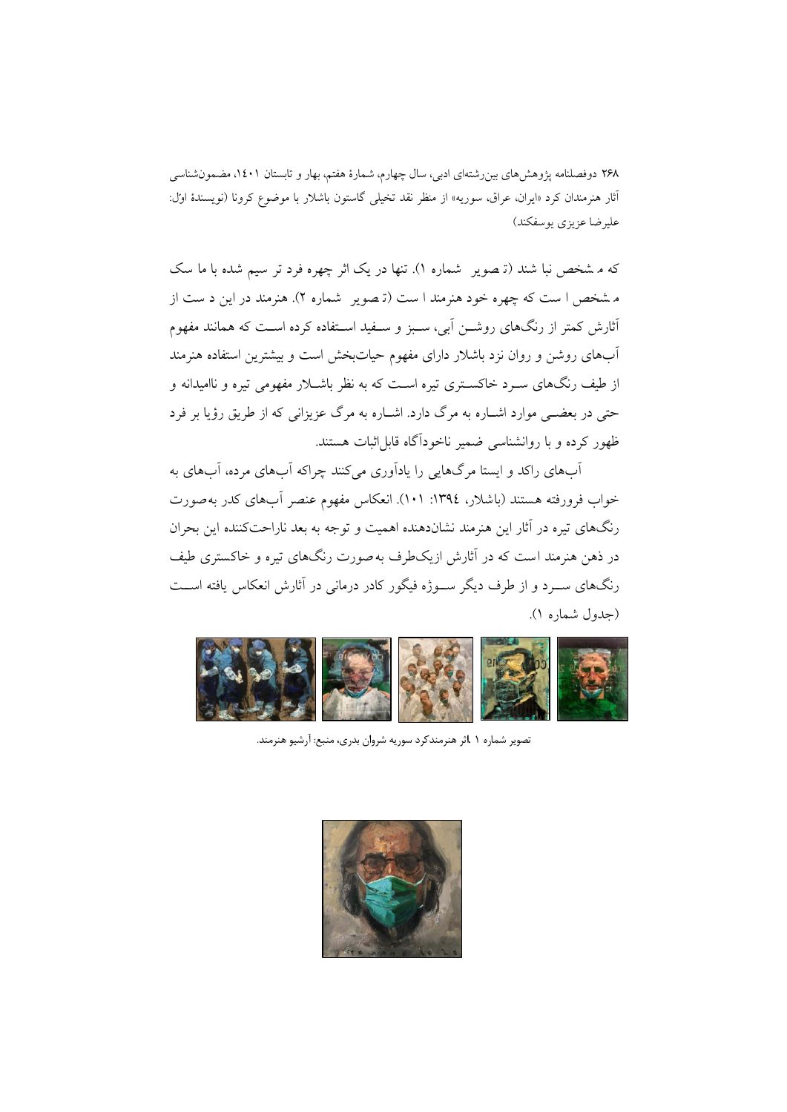که م شخص نبا شند (تـ صویر ً شماره ۱). تنها در یک اثر چهره فرد تر سیم شده با ما سک م شخص ا ست که چهره خود هنرمند ا ست (ت صویر شماره 2). هنرمند در این د ست از آثارش کمتر از رنگهاي روشـن آبی، سـبز و سـفید اسـتفاده کرده اسـت که همانند مفهوم آبهاي روشن و روان نزد باشلار داراي مفهوم حیاتبخش است و بیشترین استفاده هنرمند از طیف رنگهاي سـرد خاکسـتري تیره اسـت که به نظر باشـلار مفهومی تیره و ناامیدانه و حتی در بعضـی موارد اشـاره به مرگ دارد. اشـاره به مرگ عزیزانی که از طریق رؤیا بر فرد ظهور کرده و با روانشناسی ضمیر ناخودآگاه قابلاثبات هستند.

آبهاي راکد و ایستا مرگهایی را یادآوري میکنند چراکه آبهاي مرده، آبهاي به خواب فرورفته هستند (باشلار، :1394 101). انعکاس مفهوم عنصر آبهاي کدر بهصورت رنگهاي تیره در آثار این هنرمند نشاندهنده اهمیت و توجه به بعد ناراحتکننده این بحران در ذهن هنرمند است که در آثارش ازیکطرف بهصورت رنگهاي تیره و خاکستري طیف رنگهاي ســرد و از طرف دیگر ســوژه فیگور کادر درمانی در آثارش انعکاس یافته اســت (جدول شماره 1).



تصویر شماره 1 .اثر هنرمندکرد سوریه شروان بدري، منبع: آرشیوهنرمند.

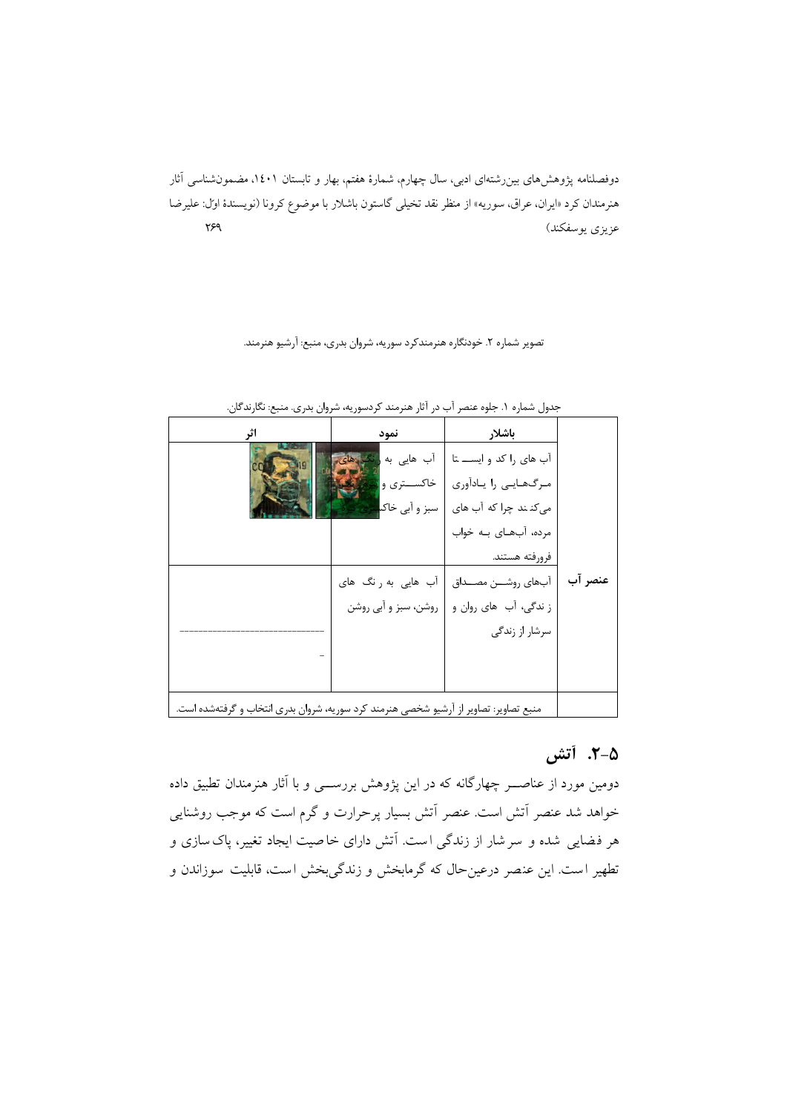#### تصویر شماره ۲. خودنگاره هنرمندکرد سوریه، شروان بدری، منبع: آرشیو هنرمند.

| اثر                                                                                   | نمود                 | باشلار                  |         |
|---------------------------------------------------------------------------------------|----------------------|-------------------------|---------|
|                                                                                       | آب هایی به           | آب های را کد و ایســ تا |         |
|                                                                                       | خاکســـتري وا        | مرگھایی را یادآوری      |         |
|                                                                                       | سبز و آبی خاک        | میکنند چرا که آب های    |         |
|                                                                                       |                      | مرده، آبهای بـه خواب    |         |
|                                                                                       |                      | فرورفته هستند.          |         |
|                                                                                       | آب هایی به رنگ های   | آبهاي روشـــن مصـــداق  | عنصر آب |
|                                                                                       | روشن، سبز و آبی روشن | ز ندگی، آب های روان و   |         |
|                                                                                       |                      | سرشار از زندگی          |         |
|                                                                                       |                      |                         |         |
|                                                                                       |                      |                         |         |
| منبع تصاویر: تصاویر از آرشیو شخصی هنرمند کرد سوریه، شروان بدری انتخاب و گرفتهشده است. |                      |                         |         |

جدول شماره ۱. جلوه عنصر آب در آثار هنرمند کردسوریه، شروان بدری. منبع: نگارندگان.

## **.2-5 آتش**

دومین مورد از عناصــر چهارگانه که در این پژوهش بررســی و با آثار هنرمندان تطبیق داده خواهد شد عنصر آتش است. عنصر آتش بس یار پرحرارت و گرم است که موجب روشنایی هر فضایی شده و سرشار از زندگی است. آتش دارای خاصیت ایجاد تغییر، پاک سازی و تطهیر است. این عنصر درعین حال که گرمابخش و زندگی بخش است، قابلیت سوزاندن و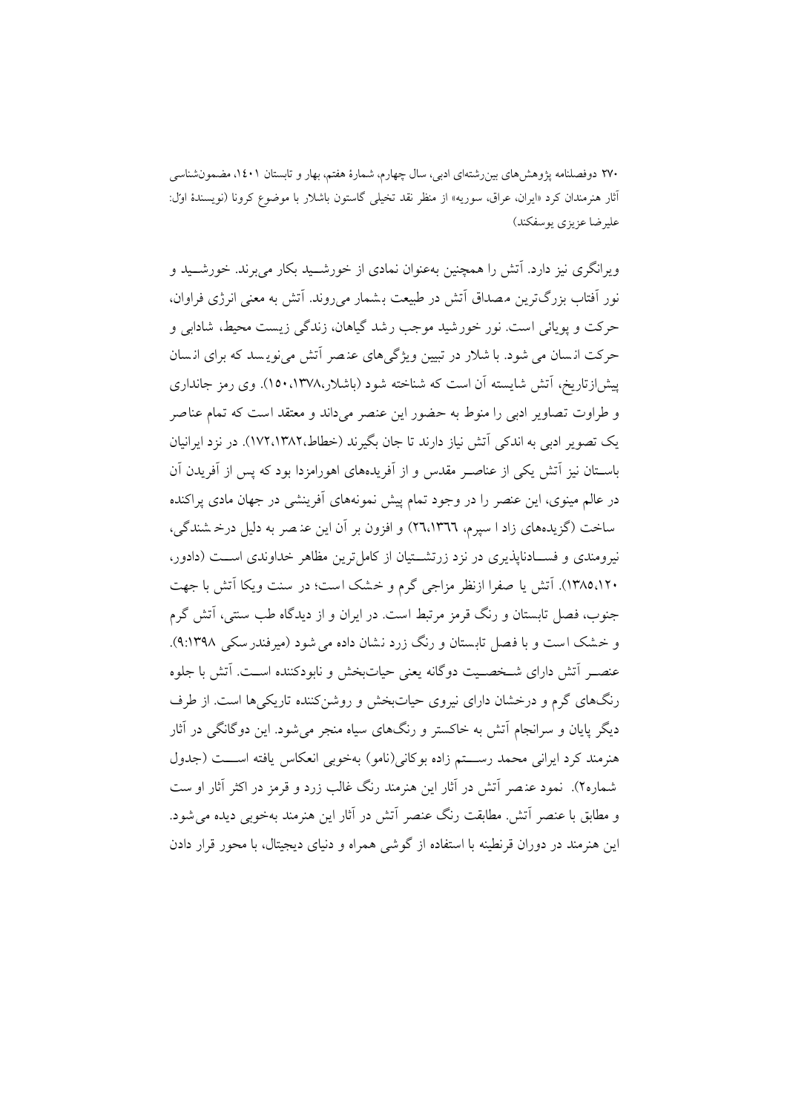ویرانگري نیز دارد. آتش را همچنین بهعنوان نمادي از خورشــید بکار میبرند. خورشــید و نور آفتاب بزرگترین مصداق آتش در طبیعت بـشمار می روند. آتش به معنی انرژی فراوان، حرکت و پویائی است. نور خورشید موجب رشد گیاهان، زندگی زیست محیط، شادابی و حرکت انسان می شود. با شلار در تبیین ویژگی های عنصر آتش می نویسد که برای انسان پیشازتاریخ، آتش شایسته آن است که شناخته شود ( باشلار، 150،1378). وي رمز جانداري و طراوت تصاویر ادبی را منوط به حضور این عنصر میداند و معتقد است که تمام عناصر یک تصویر ادبی به اندکی آتش نیاز دارند تا جان بگیرند (خطاط172،1382،). در نزد ایرانیان باسـتان نیز آتش یکی از عناصـر مقدس و از آفریدههاي اهورامزدا بود که پس از آفریدن آن در عالم مینوي، این عنصر را در وجود تمام پیش نمونههاي آفرینشی در جهان مادي پراکنده سا خت (گزیدههاي زاد ا سپرم، 26،1366) و افزون بر آن این عن صر ب ه دلیل درخ شندگی، نیرومندي و فســادناپذیري در نزد زرتشــتیان از کاملترین مظاهر خداوندي اســت (دادور، ۱۳۸۵٬۱۲۰). آتش یا صفرا ازنظر مزاجی گرم و خشک است؛ در سنت ویکا آتش با جهت جنوب، فصل تابستان و رنگ قرمز مرتبط است. در ایران و از دیدگاه طب سنتی، آتش گرم و خشک است و با فصل تابستان و رنگ زرد نشان داده می شود (میرفندرسکی ۹:۱۳۹۸). عنصـر آتش داراي شـخصـیت دوگانه یعنی حیاتبخش و نابودکننده اسـت. آتش با جلوه رنگهای گرم و درخشان دارای نیروی حیاتبخش و روشنکننده تاریکیها است. از طرف دیگر پایان و سرانجام آتش به خاکستر و رنگهاي سیاه منجر میشود . این دوگانگی در آثار هنرمند کرد ایرانی محمد رســـتم زاده بوکانی(نامو) به خوبی انعکاس یافته اســـت (جدول شماره 2). نمود عن صر آتش در آثار این هنرمند رنگ غالب زرد و قرمز در اکثر آثار او ست و مطابق با عنصر آتش. مطابقت رنگ عنصر آتش در آثار این هنرمند بهخوبی دیده میشود . این هنرمند در دوران قرنطینه با استفاده از گوشی همراه و دنیاي دیجیتال، با محور قرار دادن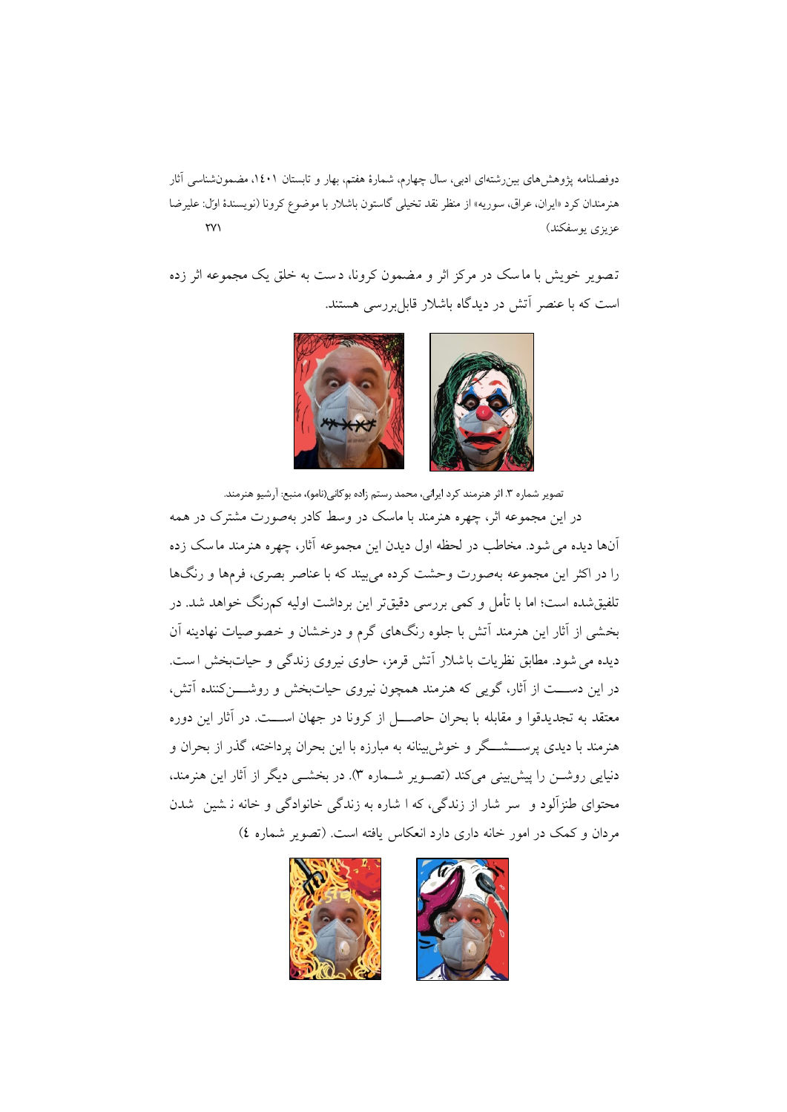تصویر خویش با ماسک در مرکز اثر و مضمون کرونا، دست به خلق یک مجموعه اثر زده است که با عنصر آتش در دیدگاه باشلار قابلبررسی هستند.



تصویر شماره ۳. اثر هنرمند کرد ایرانی، محمد رستم زاده بوکانی(نامو)، منبع: آرشیو هنرمند.

در این مجموعه اثر، چهره هنرمند با ماسک در وسط کادر بهصورت مشترك در همه آنها دیده میشود . مخاطب در لحظه اول دیدن این مجموعه آثار، چهره هنرمند ماسک زده را در اکثر این مجموعه بهصورت وحشت کرده میبیند که با عناصر بصري، فرمها و رنگها تلفیقشده است؛ اما با تأمل و کمی بررسی دقیقتر این برداشت اولیه کمرنگ خواهد شد. در بخشی از آثار این هنرمند آتش با جلوه رنگهاي گرم و درخشان و خصوصیات نهادینه آن دیده میشود . مطابق نظریات باشلار آتش قرمز، حاوي نیروي زندگی و حیاتبخش ا ست. در این دســـت از آثار، گویی که هنرمند همچون نیروي حیاتبخش و روشـــنکننده آتش، معتقد به تجدیدقوا و مقابله با بحران حاصــــل از کرونا در جهان اســــت. در آثار این دوره هنرمند با دیدي پرســشــگر و خوشبینانه به مبارزه با این بحران پرداخته، گذر از بحران و دنیایی روشـن را پیشبینی میکند (تصـویر شـماره 3). در بخشـی دیگر از آثار این هنرمند، محتواي طنزآلود و سر شار از زندگی، که ا شاره به زندگی خانوادگی و خانه ن شین شدن مردان و کمک در امور خانه داري دارد انعکاس یافته است. (تصویر شماره 4)

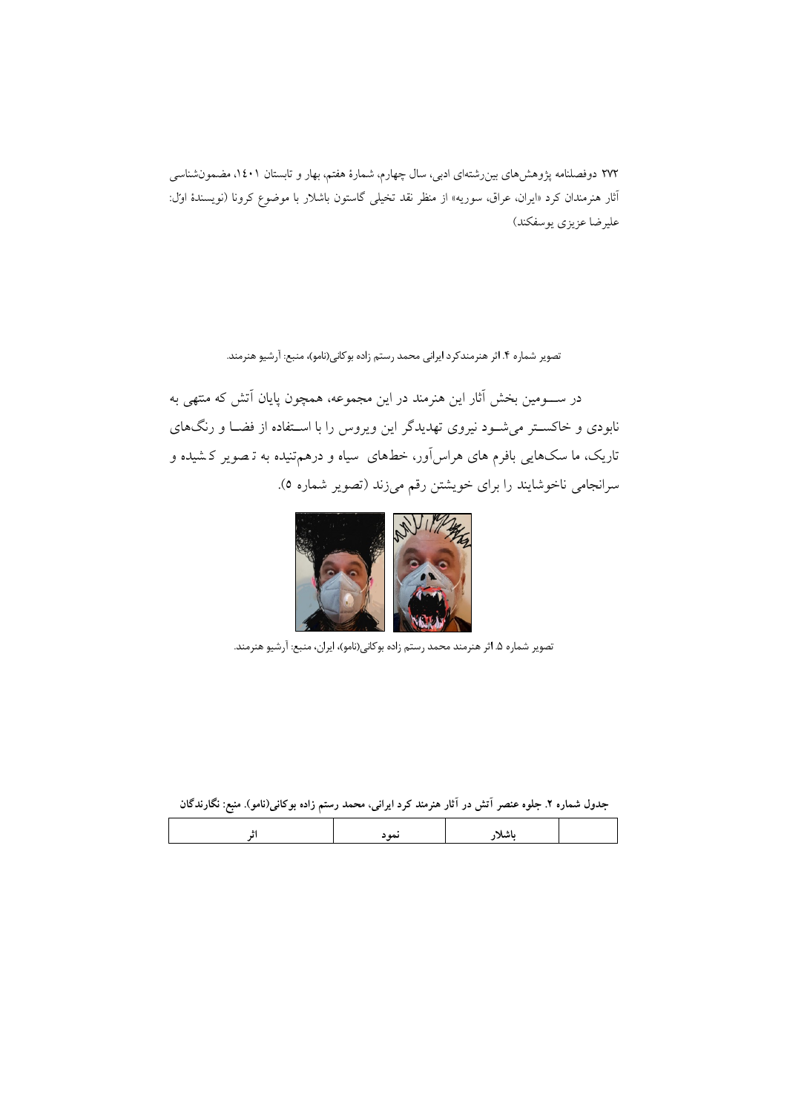تصویر شماره ۴. اثر هنرمندکرد ایرانی محمد رستم زاده بوکانی(نامو)، منبع: آرشیو هنرمند.

در ســومین بخش آثار این هنرمند در این مجموعه، همچون پایان آتش که منتهی به نابودي و خاکسـتر میشـود نیروي تهدیدگر این ویروس را با اسـتفاده از فضـا و رنگهاي تاریک، ما سک هایی بافرم هاي هراسآور، خطهاي سیاه و درهمتنیده به ت صویر ک شیده و سرانجامی ناخوشایند را براي خویشتن رقم میزند (تصویر شماره 5).



تصویر شماره ۵. اثر هنرمند محمد رستم زاده بوکانی(نامو)، ایران، منبع: آرشیو هنرمند.

|  |  | جدول شماره ۲. جلوه عنصر آتش در آثار هنرمند کرد ایرانی، محمد رستم زاده بوکانی(نامو). منبع: نگارندگان |
|--|--|-----------------------------------------------------------------------------------------------------|
|--|--|-----------------------------------------------------------------------------------------------------|

|--|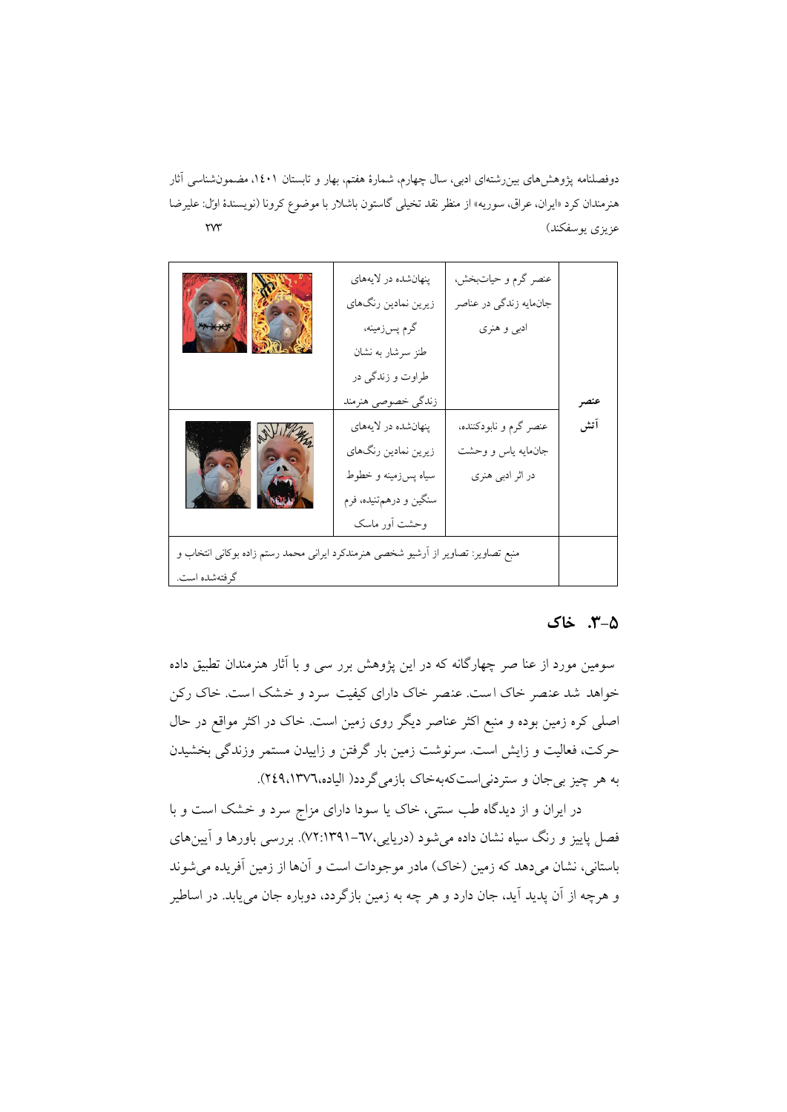| xxxxx                                                                                               | پنهانشده در لايههاي<br>زيرين نمادين رنگهاي<br>گرم پسزمینه،<br>طنز سرشار به نشان<br>طراوت و زندگی در<br>زندگي خصوصي هنرمند | عنصر گرم و حیاتبخش،<br>جانمايه زندگي در عناصر<br>ادبي و هنري     | عنصر |
|-----------------------------------------------------------------------------------------------------|---------------------------------------------------------------------------------------------------------------------------|------------------------------------------------------------------|------|
|                                                                                                     | پنهانشده در لايههاي<br>زيرين نمادين رنگهاي<br>سیاه پسزمینه و خطوط<br>سنگین و درهمتنیده، فرم<br>وحشت أور ماسك              | عنصر گرم و نابودکننده،<br>جانءايه ياس و وحشت<br>در اثر ادبی هنری | آتش  |
| منبع تصاویر: تصاویر از اَرشیو شخصی هنرمندکرد ایرانی محمد رستم زاده بوکانی انتخاب و<br>گرفتهشده است. |                                                                                                                           |                                                                  |      |

### **.3-5 خاك**

سومین مورد از عنا صر چهارگانه که در این پژوهش برر سی و با آثار هنرمندان تطبیق داده خواهد شد عنصر خاك است. عنصر خاك داراي کیفیت سرد و خشک است. خاك رکن اصل ی کره زمین بوده و منبع اکثر عناصر دیگر روي زمین است. خاك در اکثر مواقع در حال حرکت، فعالیت و زایش است. سرنوشت زمین بار گرفتن و زاییدن مستمر وزندگی بخشیدن به هر چیز بیجان و ستردنیاستکهبهخاك بازمیگردد( الیاده249،1376،).

در ایران و از دیدگاه طب سنتی، خاک یا سودا دارای مزاج سرد و خشک است و با فصل پاییز و رنگ سیاه نشان داده میشود (دریایی72:1391-67،). بررسی باورها و آیینهاي باستانی، نشان میدهد که زمین (خاك) مادر موجودات است و آنها از زمین آفریده میشوند و هرچه از آن پدید آید، جان دارد و هر چه به زمین بازگردد، دوباره جان مییابد. در اساطیر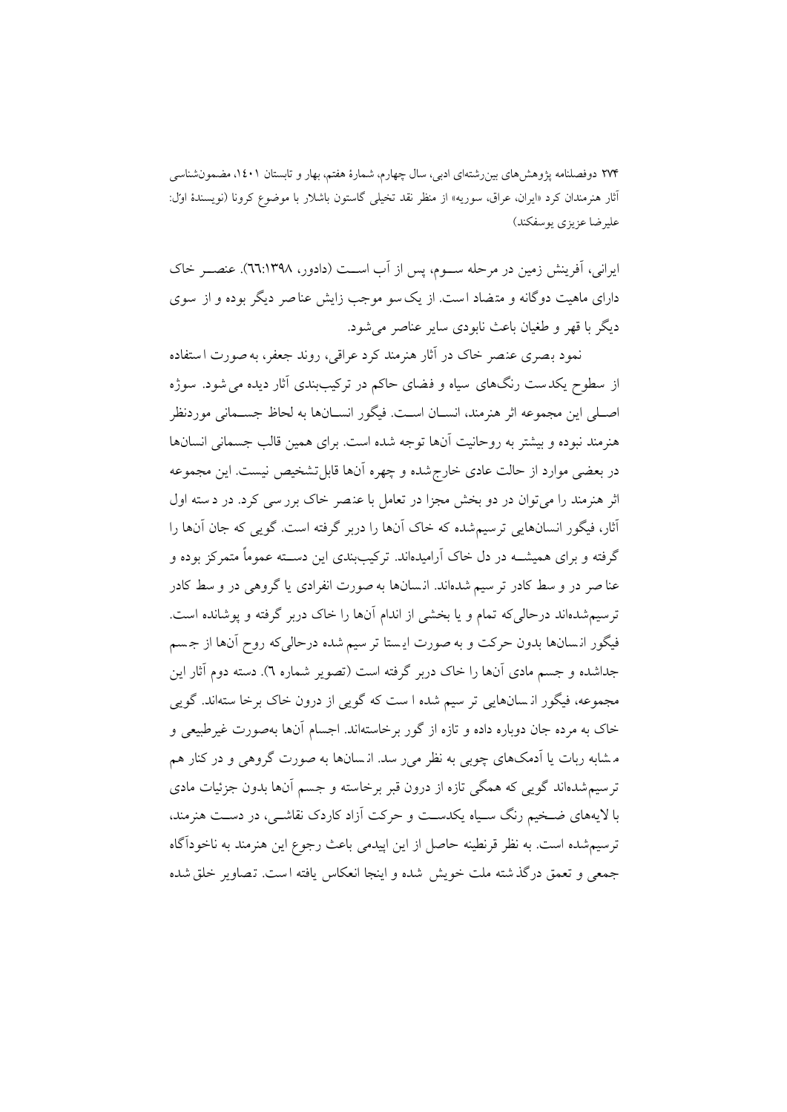ایرانی، آفرینش زمین در مرحله ســوم، پس از آب اســت (دادور، 66:1398). عنصــر خاك داراي ماهیت دوگانه و متضاد است. از یکسو موجب زایش عناصر دیگر بوده و از سوي دیگر با قهر و طغیان باعث نابودي سایر عناصر میشود.

نمود بصر ي عنصر خاك در آثار هنرمند کرد عراقی، روند جعفر، بهصورت استفاده از سطوح ی کدست رنگهاي سیاه و فضاي حاکم در ترکیببندي آثار دیده میشود . سوژه اصـلی این مجموعه اثر هنرمند، انسـان اسـت. فیگور انسـانها به لحاظ جسـمانی موردنظر هنرمند نبوده و بیشتر به روحانیت آنها توجه شده است. براي همین قالب جسمانی انسانها در بعضی موارد از حالت عادی خارج شده و چهره آنها قابل تشخیص نیست. این مجموعه اثر هنرمند را می توان در دو بخش مجزا در تعامل با عنصر خاک برر سی کرد. در د سته اول آثار، فیگور انسان هایی ترس یمشده که خاك آنها را دربر گرفته است. گویی که جان آنها را گرفته و براي همیشــه در دل خاك آرامیدهاند. ترکیببندي این دســته عموماً متمرکز بوده و عنا صر در و سط کادر تر سیم شدهاند. انسانها به صورت انفرادی یا گروهی در و سط کادر ترسیم شدهاند درحالیکه تمام و یا بخشی از اندام آنها را خاک دربر گرفته و پوشانده است. فیگور انسانها بدون حرکت و به صورت ایستا تر سیم شده درحالیکه روح آنها از جسم جداشده و جسم مادي آنها را خاك دربر گرفته است (تصویر شماره 6). دسته دوم آثار این مجموعه، فیگور ان سانهایی تر سیم شده ا ست که گویی از درون خاک برخا ستهاند. گویی خاك به مرده جان دوباره داده و تازه از گور برخاسته اند. اجسام آنها بهصورت غیرطبیعی و م شابه ربات یا آدمکهاي چوبی به نظر میر سد . ان سان ها به صورت گروهی و در کنار هم تر سیم شدهاند گویی که همگی تازه از درون قبر برخاسته و جسم آنها بدون جزئیات مادی با لایههاي ضـخیم رنگ سـیاه یکدسـت و حرکت آزاد کاردك نقاشـی، در دسـت هنرمند، ترس یمشده است. به نظر قرنطینه حاصل از این اپیدمی باعث رجوع این هنرمند به ناخودآگاه جمعی و تعمق درگذشته ملت خویش شده و اینجا انعکاس یافته است. تصاویر خلقشده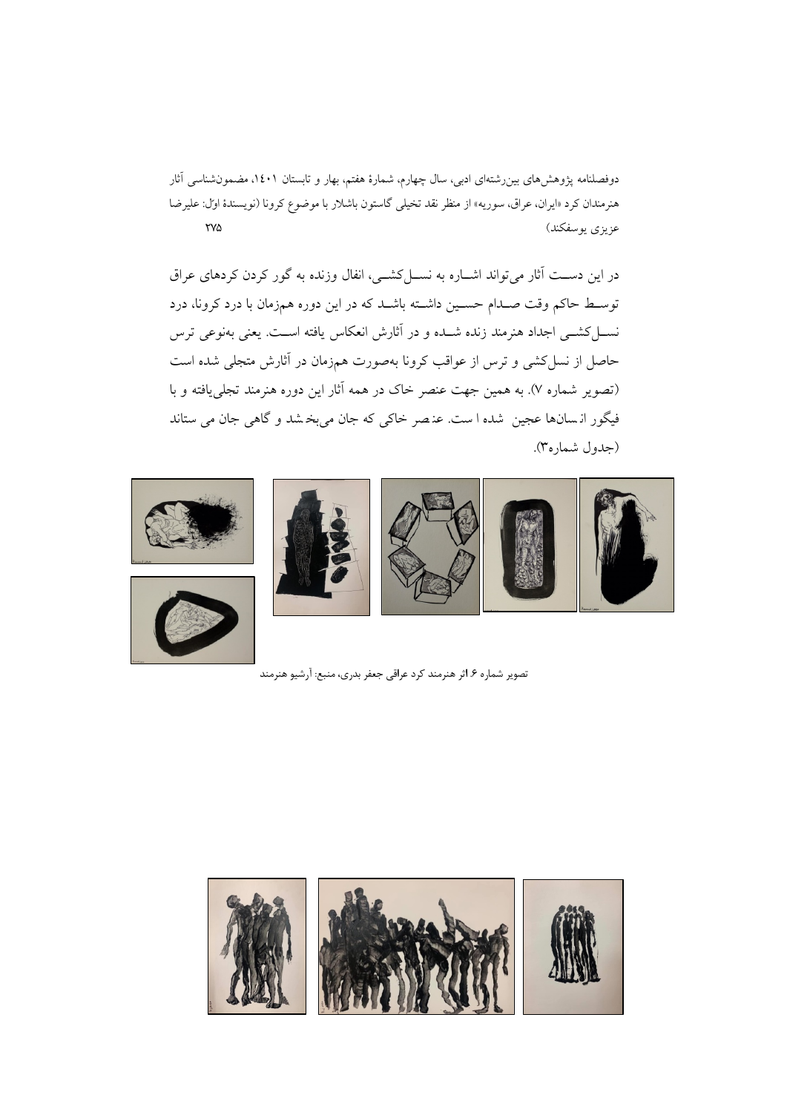در این دســت آثار میتواند اشــاره به نســلکشــی، انفال وزنده به گور کردن کردهاي عراق توسـط حاکم وقت صـدام حسـین داشـته باشـد که در این دوره همزمان با درد کرونا، درد نسـلکشـی اجداد هنرمند زنده شـده و در آثارش انعکاس یافته اسـت. یعنی بهنوعی ترس حاصل از نسلکشی و ترس از عواقب کرونا بهصورت همزمان در آثارش متجلی شده است (تصویر شماره 7). به همین جهت عنصر خاك در همه آثار این دوره هنرمند تجلییافته و با فیگور ان سان ها عجین شده ا ست. عن صر خاکی که جان میبخ شد و گاهی جان می ستاند (جدول شماره3).



تصویر شماره .6 اثر هنرمند کرد عراقی جعفر بدري، منبع: آرشیوهنرمند

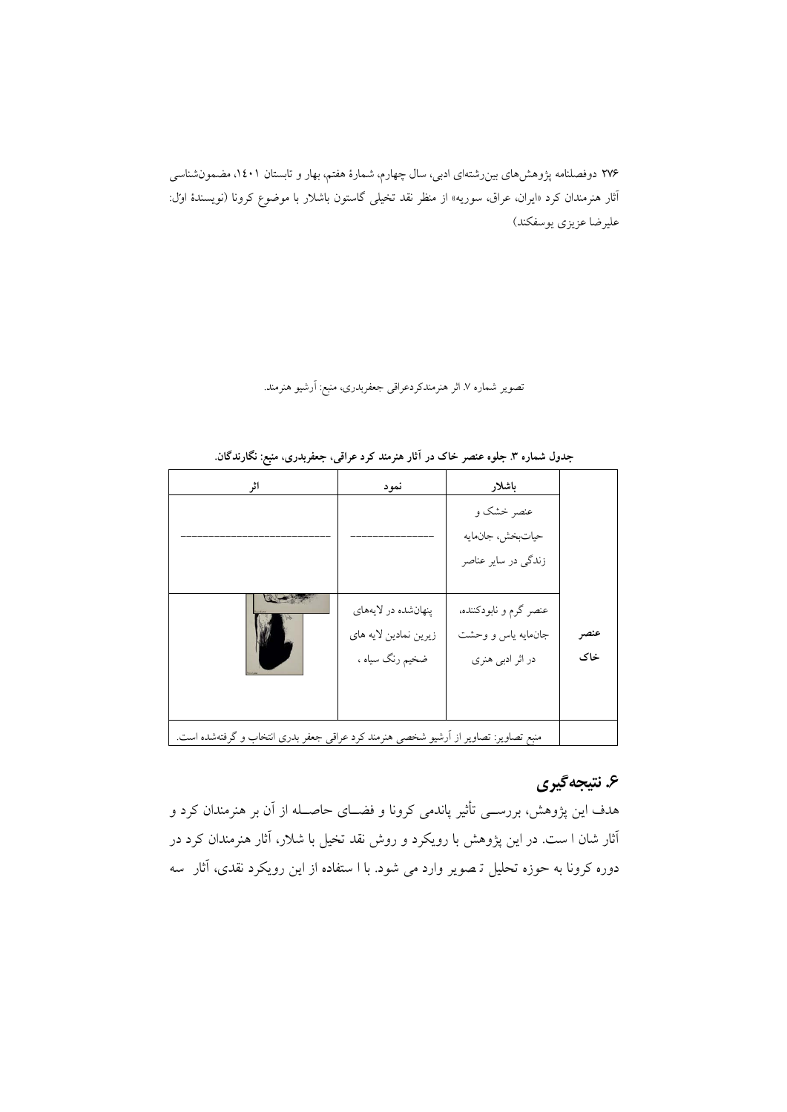تصویر شماره ۷. اثر هنرمندکردعراقی جعفربدری، منبع: آرشیو هنرمند.

| اثر                                                                                  | نمود                                                            | باشلار                                                           |             |
|--------------------------------------------------------------------------------------|-----------------------------------------------------------------|------------------------------------------------------------------|-------------|
|                                                                                      |                                                                 | عنصر خشک و<br>حياتبخش، جانءايه<br>زندگی در سایر عناصر            |             |
|                                                                                      | پنهانشده در لايههاي<br>زيرين نمادين لايه هاي<br>ضخیم رنگ سیاه ، | عنصر گرم و نابودکننده،<br>جانءایه یاس و وحشت<br>در اثر ادبی هنری | عنصر<br>خاک |
| منبع تصاویر: تصاویر از اَرشیو شخصی هنرمند کرد عراقی جعفر بدری انتخاب و گرفتهشده است. |                                                                 |                                                                  |             |

**جدول شماره .3 جلوه عنصر خاك در آثار هنرمند کرد عراقی، جعفربدري، منبع: نگارندگان.**

# **.6 نتیجهگیري**

هدف این پژوهش، بررســی تأثیر پاندمی کرونا و فضــاي حاصــله از آن بر هنرمندان کرد و آثار شان ا ست . در این پژوهش با رویکرد و روش نقد تخیل با شلار ، آثار هنرمندان کرد در دوره کرونا به حوزه تحلیل تـصویر وارد می شود. با ا ستفاده از این رویکرد نقدی، آثار سه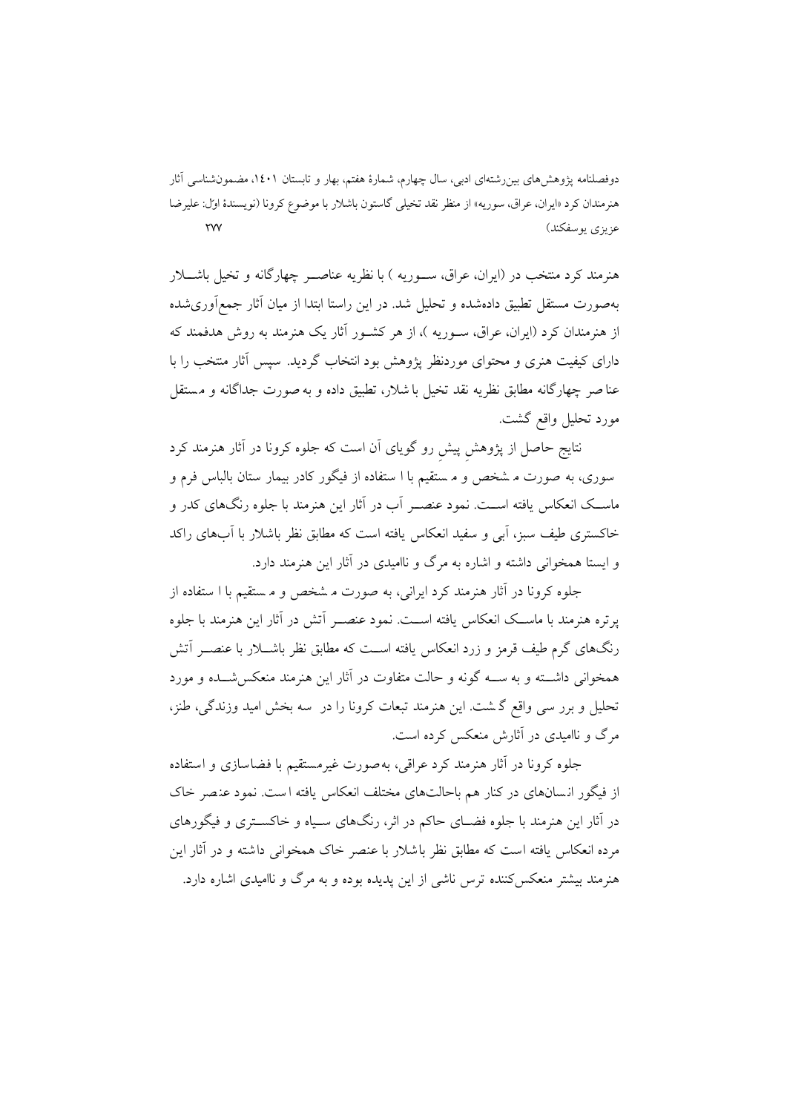هنرمند کرد منتخب در (ایران، عراق، ســوریه ) با نظریه عناصــر چهارگانه و تخیل باشــلار بهصورت مستقل تطبیق دادهشده و تحلیل شد . در این راستا ابتدا از میان آثار جمعآوريشده از هنرمندان کرد (ایران، عراق، سـور یه )، از هر کشـور آثار یک هنرمند به روش هدفمند که داراي کیفیت هنري و محتواي موردنظر پژوهش بود انتخاب گردید. سپس آثار منتخب را با عنا صر چهارگانه مطابق نظریه نقد تخیل با شلار، تطبیق داده و بهصورت جداگانه و م ستقل مورد تحلیل واقع گشت.

نتایج حاصل از پژوهشِ پیشِ رو گویاي آن است که جلوه کرونا در آثار هنرمند کرد سوري، به صورت م شخص و م ستقیم با ا ستفاده از فیگور کادر بیمار ستان بالباس فرم و ماســک انعکاس یافته اســت. نمود عنصــر آب در آثار این هنرمند با جلوه رنگهاي کدر و خاکستري طیف سبز، آبی و سفید انعکاس یافته است که مطابق نظر باشلار با آبهاي راکد و ایستا همخوانی داشته و اشاره به مرگ و ناامیدي در آثار این هنرمند دارد.

جلوه کرونا در آثار هنرمند کرد ایرانی، به صورت مشخص و مستقیم با ا ستفاده از پرتره هنرمند با ماســک انعکاس یافته اســت. نمود عنصــر آتش در آثار این هنرمند با جلوه رنگهاي گرم طیف قرمز و زرد انعکاس یافته اســت که مطابق نظر باشــلار با عنصــر آتش همخوانی داشــته و به ســه گونه و حالت متفاوت در آثار این هنرمند منعکسشــده و مورد تحلیل و برر سی واقع گ شت. این هنرمند تبعات کرونا را در سه بخش امید وزندگی، طنز، مرگ و ناامیدي در آثارش منعکس کرده است.

جلوه کرونا در آثار هنرمند کرد عراقی، بهصورت غیرمستقیم با فضاسازی و استفاده از فیگور انسانهای در کنار هم باحالتهای مختلف انعکاس یافته است. نمود عنصر خاک در آثار این هنرمند با جلوه فضـاي حاکم در اثر، رنگهاي سـیاه و خاکسـتري و فیگورهاي مرده انعکاس یافته است که مطابق نظر باشلار با عنصر خاك همخوانی داشته و در آثار این هنرمند بیشتر منعکسکننده ترس ناشی از این پدیده بوده و به مرگ و ناامیدي اشاره دارد.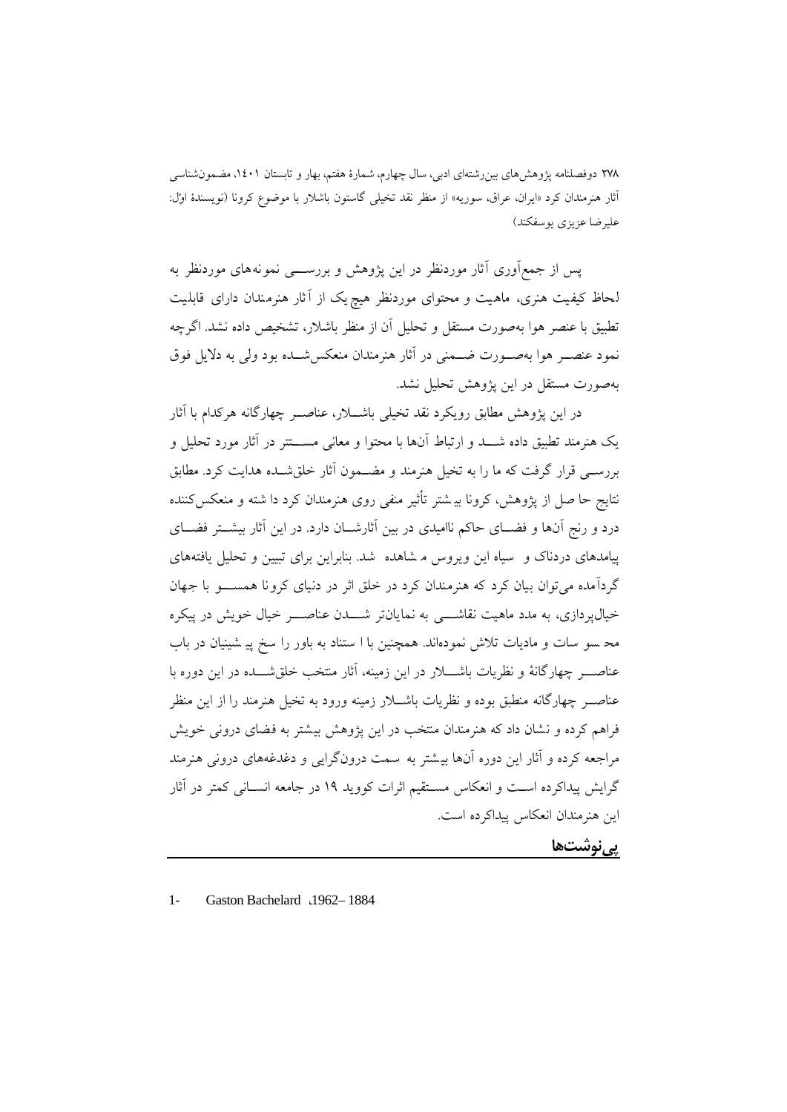یس از جمعآوری آثار موردنظر در این پژوهش و بررســـی نمونههای موردنظر به لحاظ کیفیت هنری، ماهیت و محتوای موردنظر هیچ یک از آثار هنرمندان دارای قابلیت تطبیق با عنصر هوا بهصورت مستقل و تحلیل آن از منظر باشلار، تشخیص داده نشد. اگرچه نمود عنصــر هوا بهصــورت ضــمنی در آثار هنرمندان منعکسشــده بود ولی به دلایل فوق بهصورت مستقل در این پژوهش تحلیل نشد.

در این پژوهش مطابق رویکرد نقد تخیلی باشــلار، عناصــر چهارگانه هرکدام با آثار یک هنرمند تطبیق داده شــد و ارتباط آنها با محتوا و معانی مســتتر در آثار مورد تحلیل و بررسـی قرار گرفت که ما را به تخیل هنرمند و مضـمون آثار خلقشـده هدایت کرد. مطابق نتایج حا صل از پژوهش، کرونا بی شتر تأثیر منفی روي هنرمندان کرد دا شته و منعکسکننده درد و رنج آنها و فضــاي حاکم ناامیدي در بین آثارشــان دارد. در این آثار بیشــتر فضــاي پیامدهاي دردناك و سیاه این ویروس م شاهده شد. بنابراین براي تبیین و تحلیل یافتههاي گردآمده می توان بیان کرد که هنرمندان کرد در خلق اثر در دنیای کرونا همســـو با جهان خیالپردازی، به مدد ماهیت نقاشــــی به نمایانتر شــــدن عناصــــر خیال خویش در پیکره مح سو سات و ماد یات تلاش نمودهاند. همچنین با ا ستناد به باور را سخ پ ی ش ینیان در باب عناصــر چهارگانهٔ و نظریات باشــــلار در این زمینه، آثار منتخب خلقشـــده در این دوره با عناصــر چهارگانه منطبق بوده و نظریات باشــلار زمینه ورود به تخیل هنرمند را از این منظر فراهم کرده و نشان داد که هنرمندان منتخب در این پژوهش بیشتر به فضای درونی خویش مراجعه کرده و آثار این دوره آنها بی شتر به سمت درون گرایی و دغدغههاي درونی هنرمند گرایش پیداکرده اسـت و انعکاس مسـتقیم اثرات کووید 19 در جامعه انسـانی کمتر در آثار این هنرمندان انعکاس پیداکرده است.

**پینوشتها**

1- Gaston Bachelard ،1962– 1884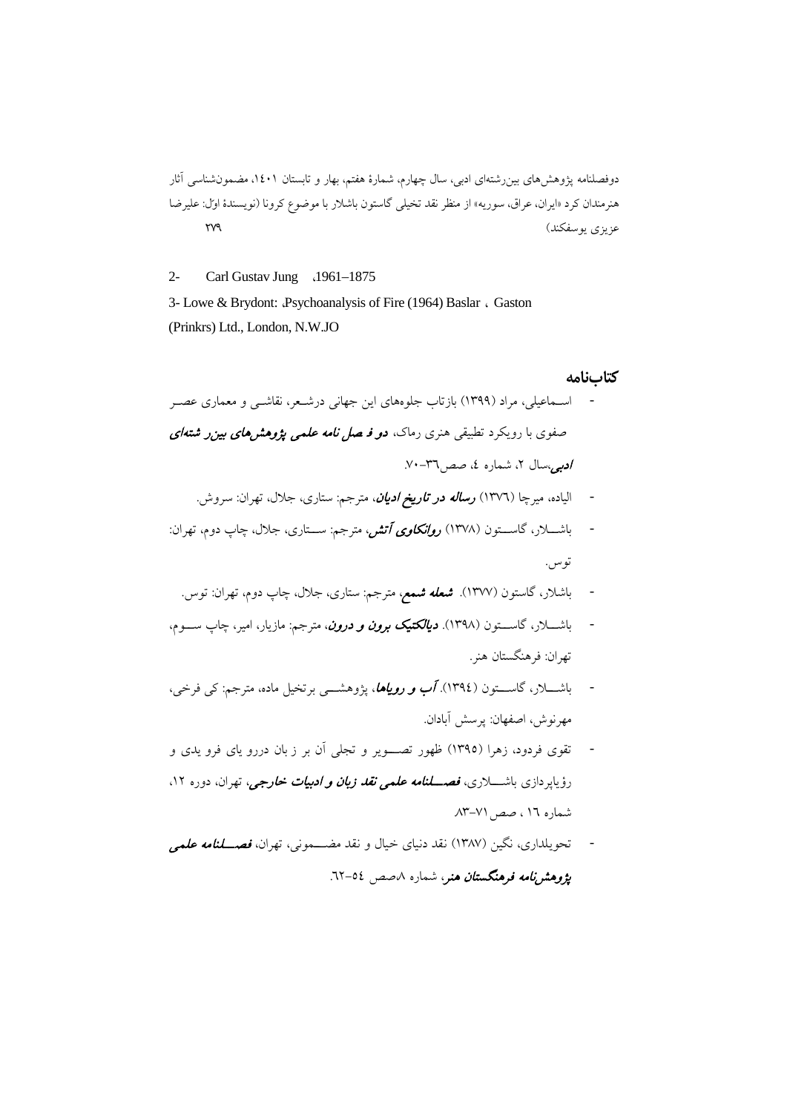2- Carl Gustav Jung ،1961–1875

3- Lowe & Brydont: *Psychoanalysis of Fire (1964) Baslar* , Gaston (Prinkrs) Ltd., London, N.W.JO

#### **کتابنامه**

- اسـما عیلی، مراد (1399) بازتاب جلوههاي این جهانی درشـعر، نقاشـی و معماري عصـر صفوی با رویکرد تطبیقی هنری رماک، **د***و فـ صل نامه علمی پژوهشهای بین ر شته ای* ادبی،سال ۲، شماره ٤، صص ٣٦-٧٠.
	- الیاده، میرچا (1376) رساله در تاریخ ادیان، مترجم: ستاري، جلال، تهران: سروش.
- باشــلار، گاســتون (1378) روانکاوي آتش، مترجم: ســتاري، جلال، چاپ دوم، تهران: توس.
	- باشلار، گاستون (۱۳۷۷). **شع***له شمع،* مترجم: ستاری، جلال، چاپ دوم، تهران: توس.
- باشــلار، گاســتون ( 1398). دیالکتیک برون و درون، مترجم: مازیار، امیر، چاپ ســوم، تهران: فرهنگستان هنر.
- باشــلار، گاســتون (1394). آب و رویاها، پژوهشــی برتخیل ماده، مترجم: کی فرخی، مهرنوش، اصفهان: پرسش آبادان.
- تقوي فردود، زهرا (1395) ظهور تصـــویر و تجلی آن بر ز بان دررو ی اي فرو ی دي و رؤیایه دازی باشــــلاری، فصـ*ـــلنامه علمی نقد زبان و ادبیات خارجی،* تهران، دوره ۱۲، شماره 16 ، صص.83-71
- تحویلداری، نگین (۱۳۸۷) نقد دنیای خیال و نقد مضـــمونی، تهران، *فصـــلنامه علمی* پژوهشر*نامه فرهنگستان هن*ر، شماره ۸صص ٥٤-٦٢.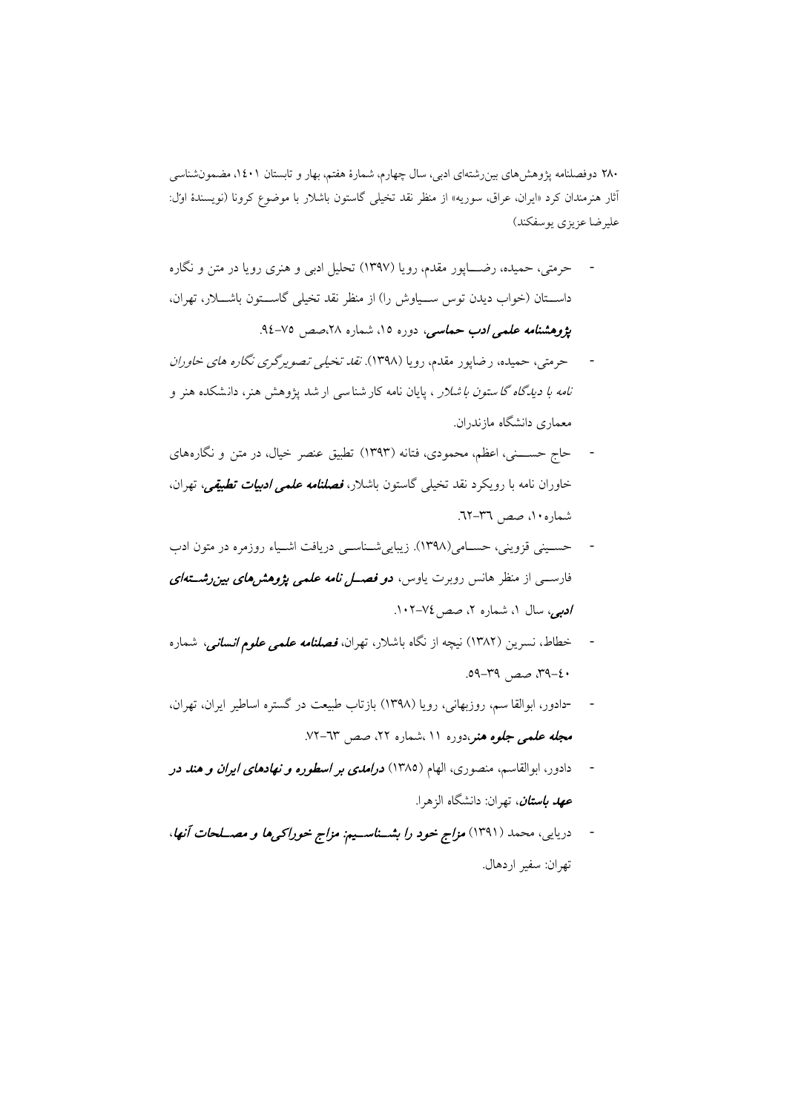- حرمتی، حمیده، رضــــاپور مقدم، رویا (۱۳۹۷) تحلیل ادبی و هنری رویا در متن و نگاره داســتان (خواب دیدن توس ســیاوش را) از منظر نقد تخیلی گاســتون باشــلار، تهران، پژ*وهشنامه علمی ادب حماسی، دوره ۱۵، شماره ۲۸،صص ۷۵-۹*٤.
- حرمتی، حمیده، رضاپور مقدم، رویا (1398). نقد تخیلی تصو یرگري نگاره هاي خاوران *نامه با دیدگاه گا ستون با شلار* ، پایان نامه کار شناسی ار شد پژوهش هنر، دانشکده هنر و معماري دانشگاه مازندران.
- حاج حســـنی، اعظم، محمودي، فتانه (1393) تطبیق عنصر خیال، در متن و نگاره ها ي خاوران نامه با رویکرد نقد تخیلی گاستون باشلار، فصلنامه علمی ادبیات تطبیقی، تهران، شماره،10 صص .62-36
- حسـینی قزوینی، حسـامی(1398). زیباییشـناسـی دریافت اشـیاء روزمره در متون ادب فارســی از منظر هانس روبرت یاوس، **د***و فصـــل نامه علمی پژوهشهای بین رشـــتهای* ادبی، سال ۱، شماره ۲، صص ۷٤-۱۰۲.
- خطاط، نسرین (۱۳۸۲) نیچه از نگاه باشلار، تهران، *فصلنامه علمی علوم انسانی،* شماره ،39-40 صص .59-39
- -دادور، ابوالقا سم، روزبهانی، رویا (1398) بازتاب طبیعت در گستره اساطیر ایران، تهران، مجله علمی جلوه هنر،دوره ۱۱ ،شماره ۲۲، صص ۷۳-۷۲.
- دادور، ابوالقاسم، منصورى، الهام (١٣٨٥) **د***رامدى بر اسطوره و نهادهاى ايران و هند در* **ع***هد باستان، ته*ران: دانشگاه الزهرا.
- دریایی، محمد (1391) مزاج خود را بشــناســیم: مزاج خوراکیها و مصــلحات آنها، تهران: سفیر اردهال.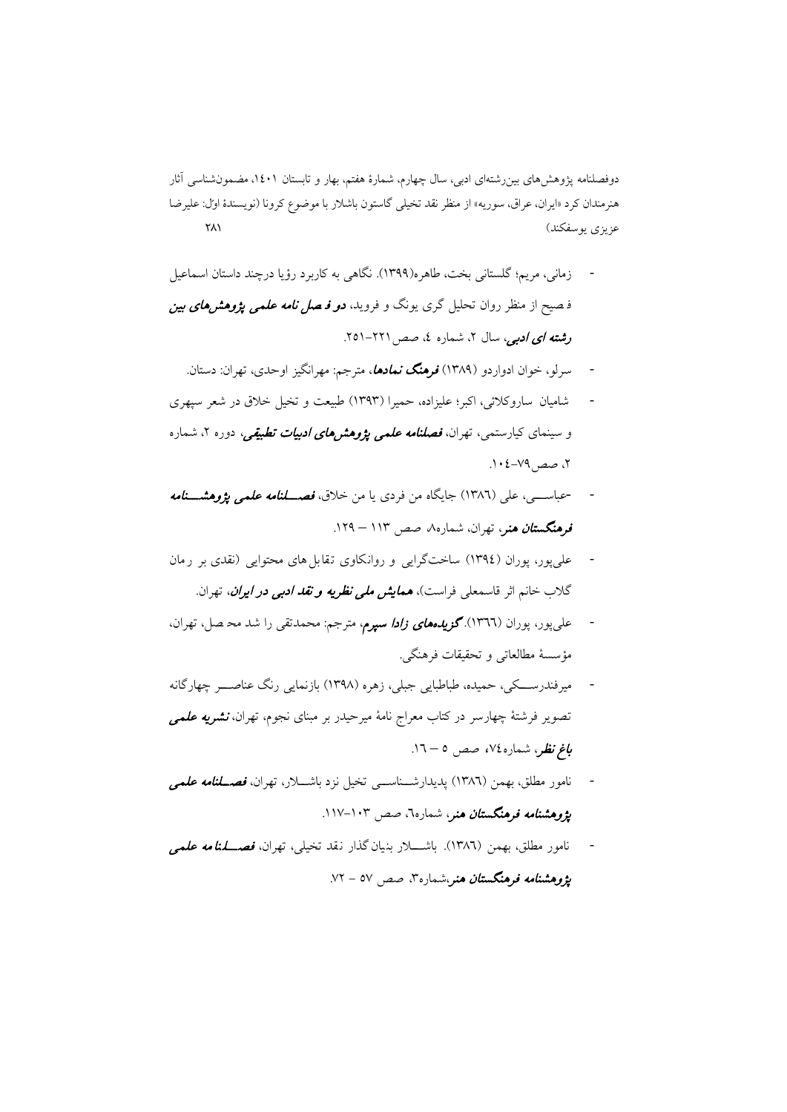- زمانی، مریم؛ گلستانی بخت، طاهره(1399). نگاهی به کاربرد رؤیا درچند داستان اسماعیل ف صیح از منظر روان تحلیل گري یونگ و فروید، **د***و فـ صل نامه علمی پژوهش هاي بين* رشته ای ادبی، سال ۲، شماره ٤، صص ۲۲۱–۲۵۱.
	- سرلو، خوان ادواردو (1389) فرهنگ نمادها، مترجم: مهرانگیز اوحدي، تهران: دستان.
- شامیان ساروکلائ ی، اکبر؛ علیزاده، حمیرا (1393) طبیعت و تخیل خلاق در شعر سپهري و سینمای کیارستمی، تهران، *فصلنامه علمی پژوهشرهای ادبیات تطبیقی،* دوره ۲، شماره ،2 صص.104-79
- -عباســــي، علي (١٣٨٦) جايگاه من فردي يا من خلاق، *فصـــلنامه علمي پژوهشـــنامه* فرهنگستان هنر، تهران، شماره،8 صص 113 – .129
- علی پور، پوران (١٣٩٤) ساختگرایی و روانکاوي تقابل هاي محتوایی (نقدي بر رمان گلاب خانم اثر قاسمعلی فراست)، همایش ملی نظریه و نقد ادبی در ایران، تهران.
- عل<sub>ی</sub>پور، پوران (١٣٦٦). **گز***یدههای زادا سپرم***،** مترجم: محمدتقی را شد محـ صل، تهران، مؤسسۀ مطالعاتی و تحقیقات فرهنگی.
- میرفندرســکی، حمیده، طباطبایی جبلی، زهره (1398) بازنمایی رنگ عناصــر چهارگانه تصویر فرشتۀ چهارسر در کتاب معراج نامۀ میرحیدر بر مبنای نجوم، تهران، **نشریه علم***ی* **ب***اغ نظر***،** شماره،۷٤، صص ٥ – ١٦.
- نامور مطلق، بهمن (١٣٨٦) پدیدارشـــناســـی تخیل نزد باشـــلار، تهران، *فصـــلنامه علمی* **پژوهشنا***مه ف***رهنگست***ان هنر***،** شماره٦، صص ۱۰۳–۱۱۷.
- نامور مطلق، بهمن (١٣٨٦). باشــــلار بنیان گذار نقد تخیلی، تهران، *فصــــلمنامه علمی* پژ*وهشنامه فرهنگستان هنر*،شماره<sup>7</sup>، صص ٥٧ - ٧٢.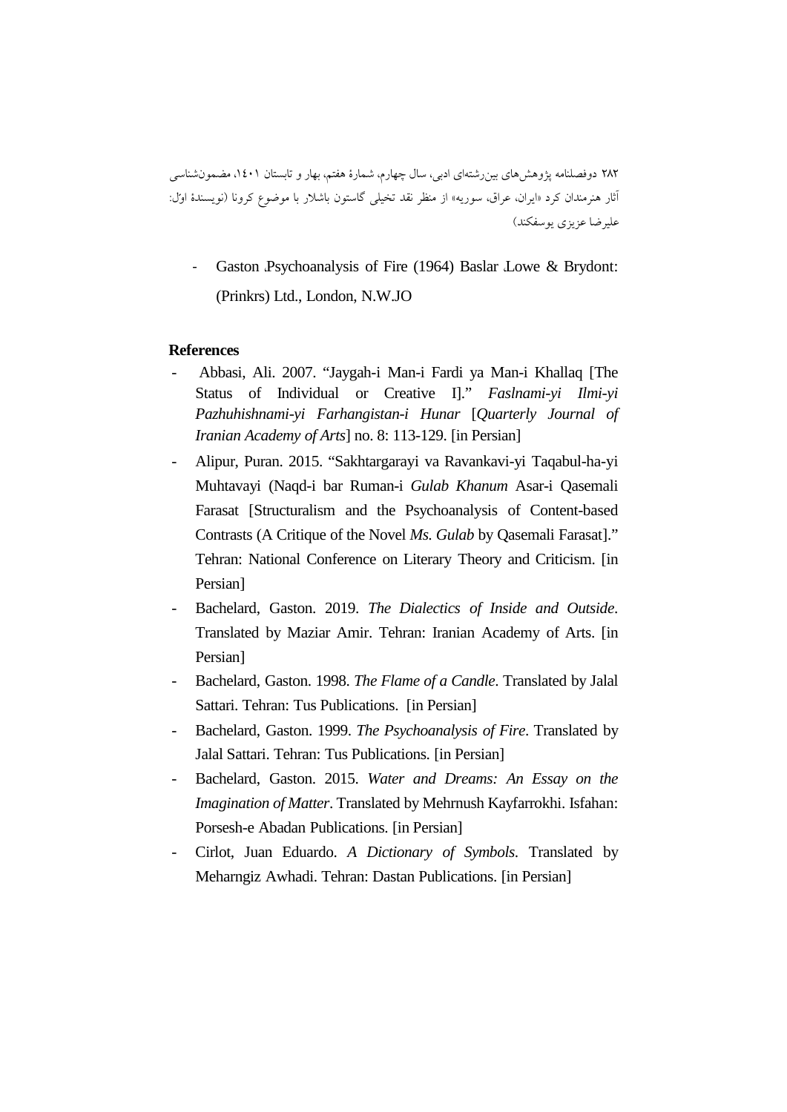Gaston *Psychoanalysis* of Fire (1964) Baslar Lowe & Brydont: (Prinkrs) Ltd., London, N.W.JO

#### **References**

- Abbasi, Ali. 2007. "Jaygah-i Man-i Fardi ya Man-i Khallaq [The Status of Individual or Creative I]." *Faslnami-yi Ilmi-yi Pazhuhishnami-yi Farhangistan-i Hunar* [*Quarterly Journal of Iranian Academy of Arts*] no. 8: 113-129. [in Persian]
- Alipur, Puran. 2015. "Sakhtargarayi va Ravankavi-yi Taqabul-ha-yi Muhtavayi (Naqd-i bar Ruman-i *Gulab Khanum* Asar-i Qasemali Farasat [Structuralism and the Psychoanalysis of Content-based Contrasts (A Critique of the Novel *Ms. Gulab* by Qasemali Farasat]." Tehran: National Conference on Literary Theory and Criticism. [in Persian]
- Bachelard, Gaston. 2019. *The Dialectics of Inside and Outside*. Translated by Maziar Amir. Tehran: Iranian Academy of Arts. [in Persian]
- Bachelard, Gaston. 1998. *The Flame of a Candle*. Translated by Jalal Sattari. Tehran: Tus Publications. [in Persian]
- Bachelard, Gaston. 1999. *The Psychoanalysis of Fire*. Translated by Jalal Sattari. Tehran: Tus Publications. [in Persian]
- Bachelard, Gaston. 2015. *Water and Dreams: An Essay on the Imagination of Matter*. Translated by Mehrnush Kayfarrokhi. Isfahan: Porsesh-e Abadan Publications. [in Persian]
- Cirlot, Juan Eduardo. *A Dictionary of Symbols*. Translated by Meharngiz Awhadi. Tehran: Dastan Publications. [in Persian]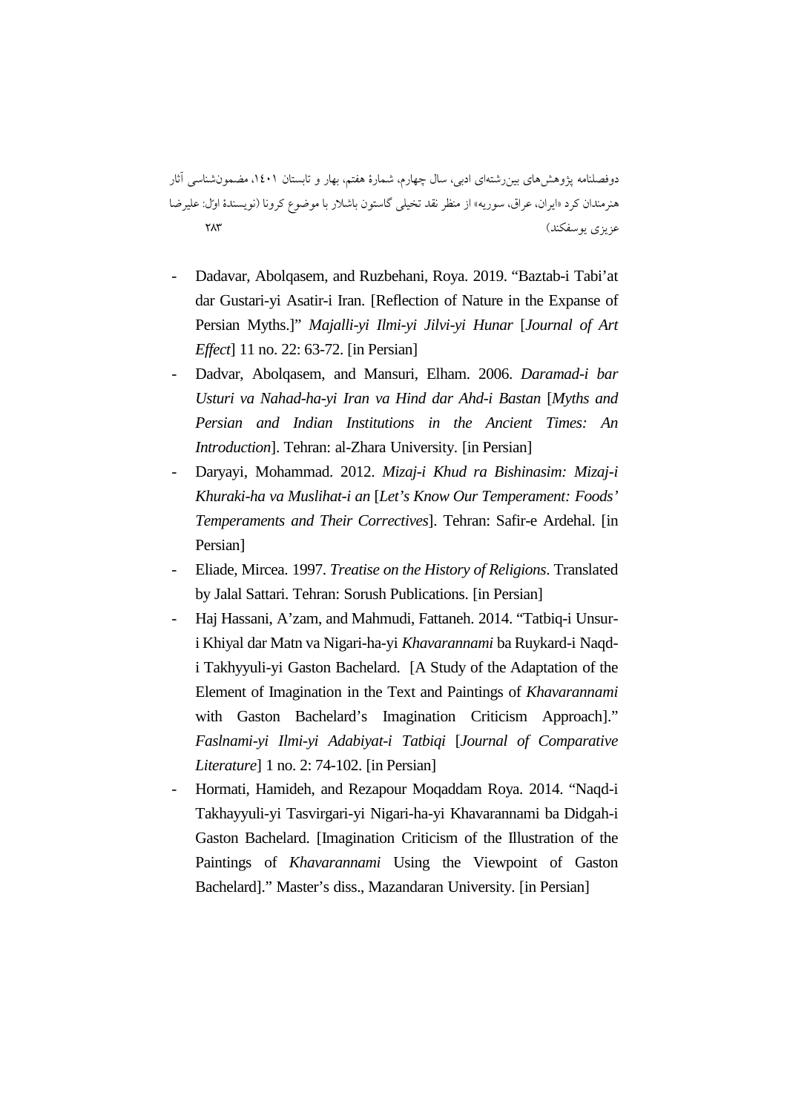- Dadavar, Abolqasem, and Ruzbehani, Roya. 2019. "Baztab-i Tabi'at dar Gustari-yi Asatir-i Iran. [Reflection of Nature in the Expanse of Persian Myths.]" *Majalli-yi Ilmi-yi Jilvi-yi Hunar* [*Journal of Art Effect*] 11 no. 22: 63-72. [in Persian]
- Dadvar, Abolqasem, and Mansuri, Elham. 2006. *Daramad-i bar Usturi va Nahad-ha-yi Iran va Hind dar Ahd-i Bastan* [*Myths and Persian and Indian Institutions in the Ancient Times: An Introduction*]. Tehran: al-Zhara University. [in Persian]
- Daryayi, Mohammad. 2012. *Mizaj-i Khud ra Bishinasim: Mizaj-i Khuraki-ha va Muslihat-i an* [*Let's Know Our Temperament: Foods' Temperaments and Their Correctives*]. Tehran: Safir-e Ardehal. [in Persian]
- Eliade, Mircea. 1997. *Treatise on the History of Religions*. Translated by Jalal Sattari. Tehran: Sorush Publications. [in Persian]
- Haj Hassani, A'zam, and Mahmudi, Fattaneh. 2014. "Tatbiq-i Unsuri Khiyal dar Matn va Nigari-ha-yi *Khavarannami* ba Ruykard-i Naqdi Takhyyuli-yi Gaston Bachelard. [A Study of the Adaptation of the Element of Imagination in the Text and Paintings of *Khavarannami* with Gaston Bachelard's Imagination Criticism Approach]." *Faslnami-yi Ilmi-yi Adabiyat-i Tatbiqi* [*Journal of Comparative Literature*] 1 no. 2: 74-102. [in Persian]
- Hormati, Hamideh, and Rezapour Moqaddam Roya. 2014. "Naqd-i Takhayyuli-yi Tasvirgari-yi Nigari-ha-yi Khavarannami ba Didgah-i Gaston Bachelard. [Imagination Criticism of the Illustration of the Paintings of *Khavarannami* Using the Viewpoint of Gaston Bachelard]." Master's diss., Mazandaran University. [in Persian]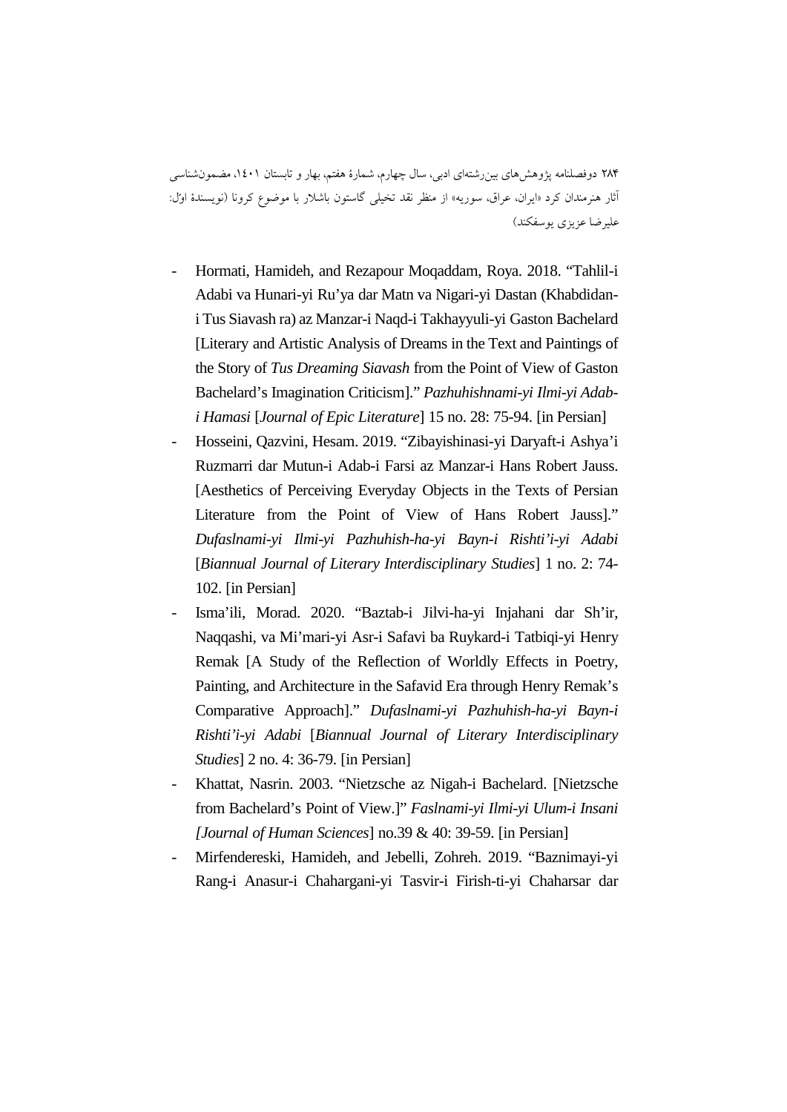- Hormati, Hamideh, and Rezapour Moqaddam, Roya. 2018. "Tahlil-i Adabi va Hunari-yi Ru'ya dar Matn va Nigari-yi Dastan (Khabdidani Tus Siavash ra) az Manzar-i Naqd-i Takhayyuli-yi Gaston Bachelard [Literary and Artistic Analysis of Dreams in the Text and Paintings of the Story of *Tus Dreaming Siavash* from the Point of View of Gaston Bachelard's Imagination Criticism]." *Pazhuhishnami-yi Ilmi-yi Adabi Hamasi* [*Journal of Epic Literature*] 15 no. 28: 75-94. [in Persian]
- Hosseini, Qazvini, Hesam. 2019. "Zibayishinasi-yi Daryaft-i Ashya'i Ruzmarri dar Mutun-i Adab-i Farsi az Manzar-i Hans Robert Jauss. [Aesthetics of Perceiving Everyday Objects in the Texts of Persian Literature from the Point of View of Hans Robert Jauss]." *Dufaslnami-yi Ilmi-yi Pazhuhish-ha-yi Bayn-i Rishti'i-yi Adabi* [*Biannual Journal of Literary Interdisciplinary Studies*] 1 no. 2: 74- 102. [in Persian]
- Isma'ili, Morad. 2020. "Baztab-i Jilvi-ha-yi Injahani dar Sh'ir, Naqqashi, va Mi'mari-yi Asr-i Safavi ba Ruykard-i Tatbiqi-yi Henry Remak [A Study of the Reflection of Worldly Effects in Poetry, Painting, and Architecture in the Safavid Era through Henry Remak's Comparative Approach]." *Dufaslnami-yi Pazhuhish-ha-yi Bayn-i Rishti'i-yi Adabi* [*Biannual Journal of Literary Interdisciplinary Studies*] 2 no. 4: 36-79. [in Persian]
- Khattat, Nasrin. 2003. "Nietzsche az Nigah-i Bachelard. [Nietzsche from Bachelard's Point of View.]" *Faslnami-yi Ilmi-yi Ulum-i Insani [Journal of Human Sciences*] no.39 & 40: 39-59. [in Persian]
- Mirfendereski, Hamideh, and Jebelli, Zohreh. 2019. "Baznimayi-yi Rang-i Anasur-i Chahargani-yi Tasvir-i Firish-ti-yi Chaharsar dar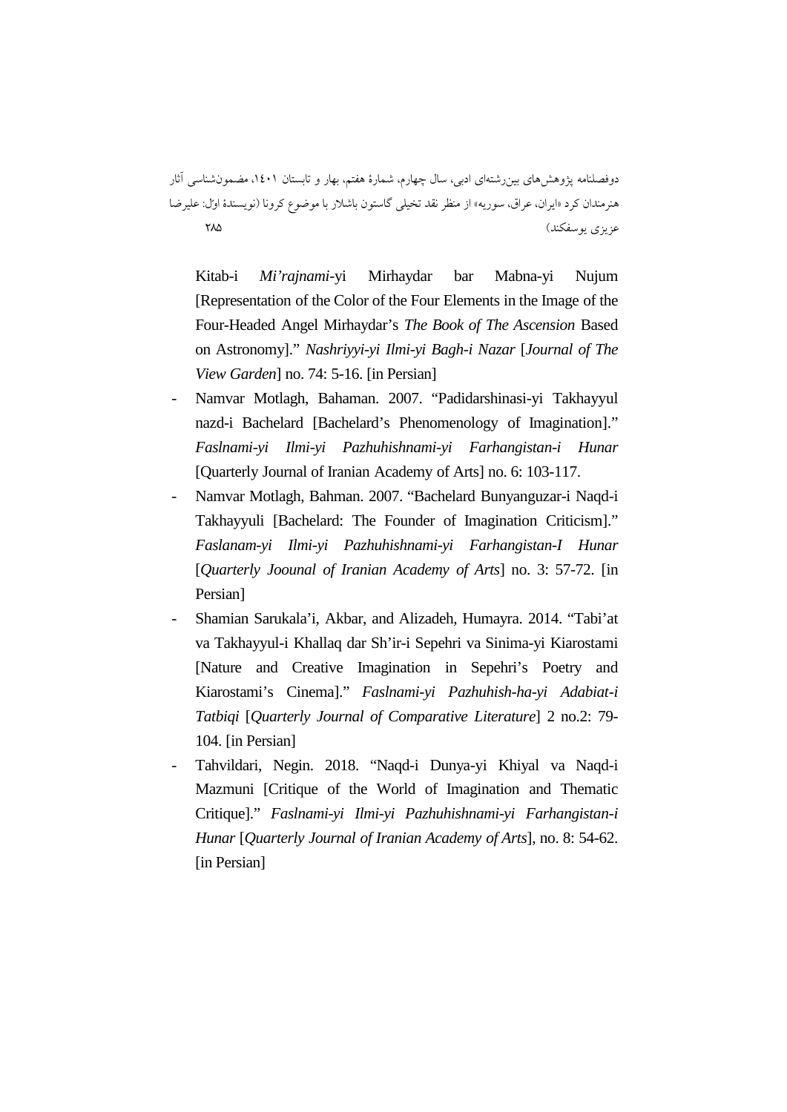Kitab-i *Mi'rajnami*-yi Mirhaydar bar Mabna-yi Nujum [Representation of the Color of the Four Elements in the Image of the Four-Headed Angel Mirhaydar's *The Book of The Ascension* Based on Astronomy]." *Nashriyyi-yi Ilmi-yi Bagh-i Nazar* [*Journal of The View Garden*] no. 74: 5-16. [in Persian]

- Namvar Motlagh, Bahaman. 2007. "Padidarshinasi-yi Takhayyul nazd-i Bachelard [Bachelard's Phenomenology of Imagination]." *Faslnami-yi Ilmi-yi Pazhuhishnami-yi Farhangistan-i Hunar* [Quarterly Journal of Iranian Academy of Arts] no. 6: 103-117.
- Namvar Motlagh, Bahman. 2007. "Bachelard Bunyanguzar-i Naqd-i Takhayyuli [Bachelard: The Founder of Imagination Criticism]." *Faslanam-yi Ilmi-yi Pazhuhishnami-yi Farhangistan-I Hunar*  [*Quarterly Joounal of Iranian Academy of Arts*] no. 3: 57-72. [in Persian]
- Shamian Sarukala'i, Akbar, and Alizadeh, Humayra. 2014. "Tabi'at va Takhayyul-i Khallaq dar Sh'ir-i Sepehri va Sinima-yi Kiarostami [Nature and Creative Imagination in Sepehri's Poetry and Kiarostami's Cinema]." *Faslnami-yi Pazhuhish-ha-yi Adabiat-i Tatbiqi* [*Quarterly Journal of Comparative Literature*] 2 no.2: 79- 104. [in Persian]
- Tahvildari, Negin. 2018. "Naqd-i Dunya-yi Khiyal va Naqd-i Mazmuni [Critique of the World of Imagination and Thematic Critique]." *Faslnami-yi Ilmi-yi Pazhuhishnami-yi Farhangistan-i Hunar* [*Quarterly Journal of Iranian Academy of Arts*], no. 8: 54-62. [in Persian]